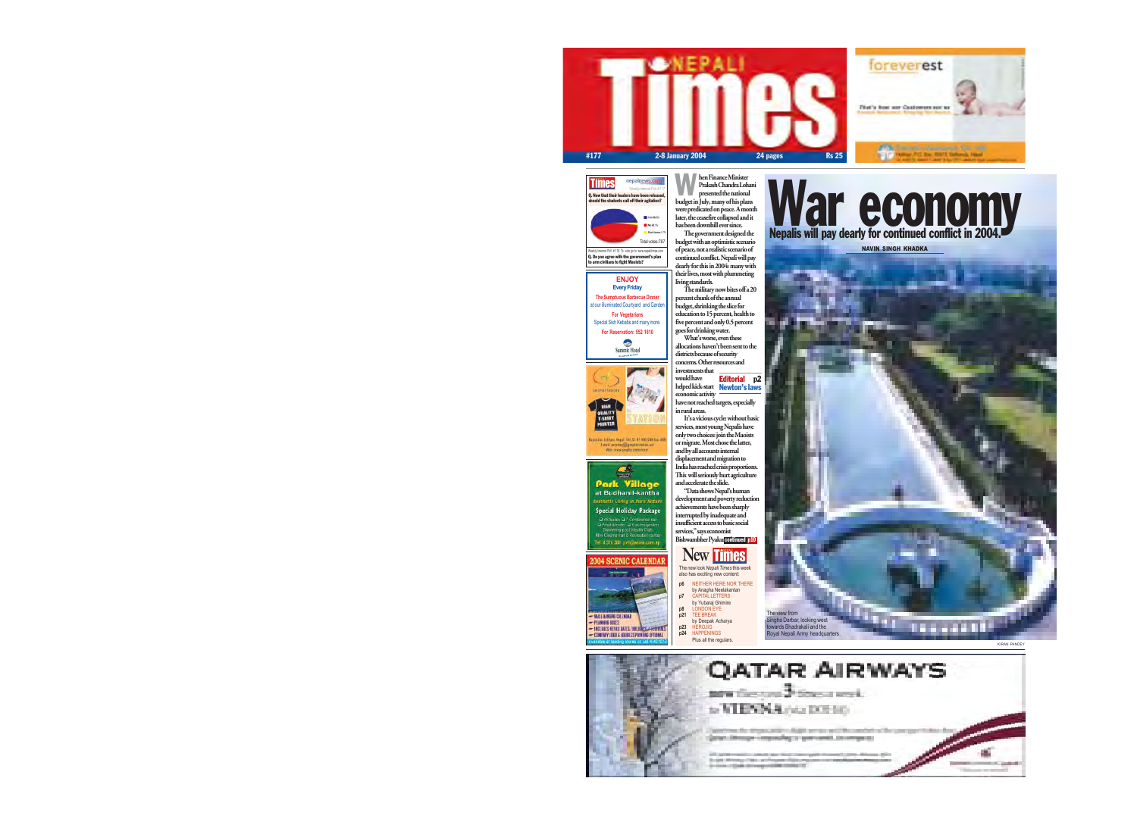





Weekly Internet Poll # 118. To vote go to: www.nepalitimes.com Q. Do you agree with the government's plan to arm civilians to fight Maoists?

Total votes:787





Espirato: Telepo Hipo: Tel 55.47 NO) 588 Tps: HOL **Ген воли@разническ** At exceptionalistic

**Park Village**<br>at Budhanil-kantha Sesthetic Living in Para Nature **Special Holiday Package** D 48 Suites D 7 Conference half<br>D Amshittenter D 6 acres garden Fernmey pool Histitt Cab.<br>Min Cinemi hat & Recruiter center Tel: 4 376 289, pen@wlina.com.np

The government designed the budget with an optimistic scenario of peace, not a realistic scenario of continued conflict. Nepali will pay dearly for this in 2004: many with their lives, most with plummeting living standards.

"Data shows Nepal's human development and poverty reduction achievements have been sharply interrupted by inadequate and insufficient access to basic social services," says economist Bishwambher Pyakur continued p10

The military now bites off a 20 percent chunk of the annual budget, shrinking the slice for education to 15 percent, health to five percent and only 0.5 percent goes for drinking water.

hen Finance Minister Prakash Chandra Lohani presented the national budget in July, many of his plans were predicated on peace. A month later, the ceasefire collapsed and it has been downhill ever since. W

have not reached targets, especially in rural areas.

It's a vicious cycle: without basic services, most young Nepalis have only two choices: join the Maoists or migrate. Most chose the latter, and by all accounts internal displacement and migration to India has reached crisis proportions. This will seriously hurt agriculture and accelerate the slide.

What's worse, even these allocations haven't been sent to the districts because of security concerns. Other resources and investments that would have helped kick-start Newton's lawseconomic activity Editorial p2 NAVIN SINGH KHADKA

KIRAN PANDEY



**p7** CAPITAL LETTERS by Yubaraj Ghimire

**p8** LONDON EYE **p21** TEE BREAK

by Deepak Acharya

**p23** HEROJIG **p24** HAPPENINGS Plus all the regulars.

# War economy Nepalis will pay dearly for continued conflict in 2004.



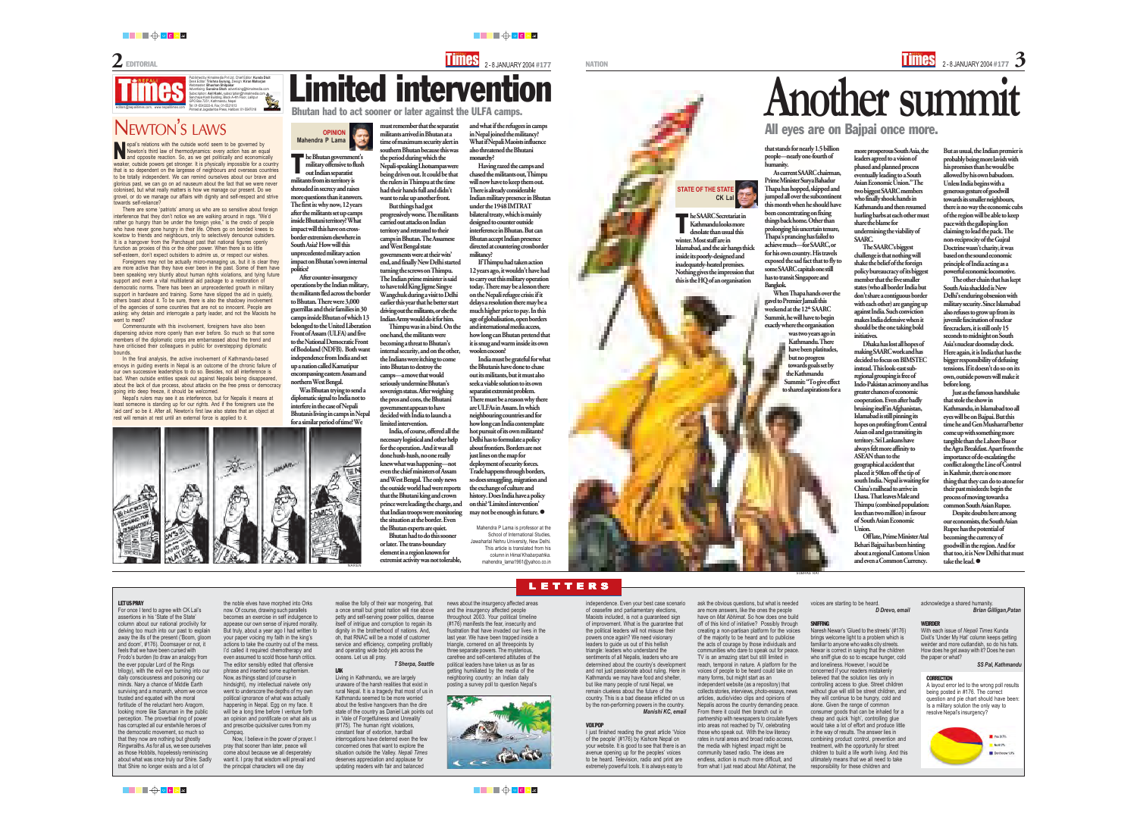**NATION** 

# Published by Himalmedia Pvt Ltd, Chief Editor: **Kunda Dixit**<br>Desk Editor: **Trishna Gurung**, Design: **Kiran Maharjan**<br>Webmaster: **Bhushan Shilpakar**<br>Advertising: **Sunaina Shah** advertising@himalmedia.com<br>Subscription: **Anil**

L ETTERS

### LET US PRAY

the noble elves have morphed into Orks now. Of course, drawing such parallels becomes an exercise in self indulgence to appease our own sense of injured morality. But truly, about a year ago I had written to your paper voicing my faith in the king's actions to take the country out of the mess. I'd called it required chemotherapy and even assumed to scold those harsh critics. The editor sensibly edited that offensive phrase and inserted some euphemism. Now, as things stand (of course in hindsight), my intellectual naivete only went to underscore the depths of my own political ignorance of what was actually happening in Nepal. Egg on my face. It will be a long time before I venture forth an opinion and pontificate on what ails us and prescribe quicksilver cures from my **Compaq** 

For once I tend to agree with CK Lal's assertions in his 'State of the State' column about our national proclivity for delving too much into our past to explain away the ills of the present ('Boom, gloom and doom', #176). Doomsayer or not, it feels that we have been cursed with Frodo's burden (to draw an analogy from the ever popular Lord of the Rings trilogy), with the evil eye burning into our daily consciousness and poisoning our minds. Nary a chance of Middle Earth surviving and a monarch, whom we once trusted and equated with the moral fortitude of the reluctant hero Aragorn, looking more like Saruman in the public perception. The proverbial ring of power has corrupted all our erstwhile heroes of the democratic movement, so much so that they now are nothing but ghostly Ringwraiths. As for all us, we see ourselves as those Hobbits, hopelessly reminiscing about what was once truly our Shire. Sadly that Shire no longer exists and a lot of

Now, I believe in the power of prayer. I pray that sooner than later, peace will come about because we all desperately want it. I pray that wisdom will prevail and the principal characters will one day

realise the folly of their war mongering, that a once small but great nation will rise above petty and self-serving power politics, cleanse itself of intrigue and corruption to regain its dignity in the brotherhood of nations. And, oh, that RNAC will be a model of customer service and efficiency, competing profitably and operating wide body jets across the oceans. Let us all pray.

### *T Sherpa, Seattle*

LAK

Living in Kathmandu, we are largely unaware of the harsh realities that exist in rural Nepal. It is a tragedy that most of us in Kathmandu seemed to be more worried about the festive hangovers than the dire state of the country as Daniel Lak points out in 'Vale of Forgetfulness and Unreality' (#175). The human right violations, constant fear of extortion, hardball interrogations have deterred even the few concerned ones that want to explore the situation outside the Valley. *Nepali Times* deserves appreciation and applause for updating readers with fair and balanced

he Bhutan government's<br>
military offensive to flush<br>
out Indian separatist military offensive to flush out Indian separatist militants from its territory is shrouded in secrecy and raises more questions than it answers. The first is: why now, 12 years after the militants set up camps inside Bhutani territory? What impact will this have on crossborder extremism elsewhere in South Asia? How will this unprecedented military action impact on Bhutan's own internal politics?

> news about the insurgency affected areas and the insurgency affected people throughout 2003. Your political timeline (#176) manifests the fear, insecurity and frustration that have invaded our lives in the last year. We have been trapped inside a triangle, cornered on all threepoints by three separate powers. The mysterious, carefree and self-centered attitudes of the political leaders have taken us as far as getting humiliated by the media of the neighboring country: an Indian daily posting a survey poll to question Nepal's



### independence. Even your best case scenario of ceasefire and parliamentary elections, Maoists included, is not a guaranteed sign of improvement. What is the guarantee that the political leaders will not misuse their powers once again? We need visionary leaders to guide us out of this hellish triangle: leaders who understand the sentiments of all Nepalis, leaders who are determined about the country's development and not just passionate about ruling. Here in Kathmandu we may have food and shelter, but like many people of rural Nepal, we remain clueless about the future of the country. This is a bad disease inflicted on us by the non-performing powers in the country.

*Manishi KC, email*

### VOX POP

I just finished reading the great article 'Voice of the people' (#176) by Kishore Nepal on your website. It is good to see that there is an avenue opening up for the peoples' voices to be heard. Television, radio and print are extremely powerful tools. It is always easy to

India must be grateful for what the Bhutanis have done to chase out its militants, but it must also seek a viable solution to its own separatist extremist problem. There must be a reason why there are ULFAs in Assam. In which neighbouring countries and for how long can India contemplate hot pursuit of its own militants? Delhi has to formulate a policy about frontiers. Borders are not just lines on the map for deployment of security forces. Trade happens through borders, so does smuggling, migration and the exchange of culture and history. Does India have a policy on this? 'Limited intervention' may not be enough in future.  $\bullet$ 

> ask the obvious questions, but what is needed are more answers, like the ones the people have on *Mat Abhimat.* So how does one build off of this kind of initiative? Possibly through creating a non-partisan platform for the voices of the majority to be heard and to publicise the acts of courage by those individuals and communities who dare to speak out for peace. TV is an amazing start but still limited in reach, temporal in nature. A platform for the voices of people to be heard could take on many forms, but might start as an independent website (as a repository) that collects stories, interviews, photo-essays, news articles, audio/video clips and opinions of Nepalis across the country demanding peace. From there it could then branch out in partnership with newspapers to circulate flyers into areas not reached by TV, celebrating those who speak out. With the low literacy rates in rural areas and broad radio access, the media with highest impact might be community based radio. The ideas are endless, action is much more difficult, and from what I just read about *Mat Abhimat,* the

A layout error led to the wrong poll results being posted in #176. The correct question and pie chart should have been: Is a military solution the only way to resolve Nepal's insurgency?



After counter-insurgency operations by the Indian military, the militants fled across the border to Bhutan. There were 3,000 guerrillas and their families in 30 camps inside Bhutan of which 13 belonged to the United Liberation Front of Assam (ULFA) and five to the National Democratic Front of Bodoland (NDFB). Both want independence from India and set up a nation called Kamatipur encompassing eastern Assam and northern West Bengal.

Another summit All eyes are on Bajpai once more.

Was Bhutan trying to send a diplomatic signal to India not to interfere in the case of Nepali Bhutanis living in camps in Nepal for a similar period of time? We



NAME OF BRIDE OPENING OF PERSON NAMED IN



Bhutan had to act sooner or later against the ULFA camps.

must remember that the separatist militants arrived in Bhutan at a time of maximum security alert in southern Bhutan because this was the period during which the Nepali-speaking Lhotsampas were being driven out. It could be that the rulers in Thimpu at the time had their hands full and didn't want to rake up another front.

epal's relations with the outside world seem to be governed by<br>
Newton's third law of thermodynamics: every action has an equand opposite reaction. So, as we get politically and economic Newton's third law of thermodynamics: every action has an equal and opposite reaction. So, as we get politically and economically weaker, outside powers get stronger. It is physically impossible for a country that is so dependent on the largesse of neighbours and overseas countries to be totally independent. We can remind ourselves about our brave and glorious past, we can go on ad nauseum about the fact that we were never colonised, but what really matters is how we manage our present. Do we grovel, or do we manage our affairs with dignity and self-respect and strive towards self-reliance?

But things had got progressively worse. The militants carried out attacks on Indian territory and retreated to their camps in Bhutan. The Assamese and West Bengal state governments were at their wits' end, and finally New Delhi started turning the screws on Thimpu. The Indian prime minister is said to have told King Jigme Singye Wangchuk during a visit to Delhi earlier this year that he better start driving out the militants, or else the Indian Army would do it for him.

Foreigners may not be actually micro-managing us, but it is clear they are more active than they have ever been in the past. Some of them have been speaking very bluntly about human rights violations, and tying future support and even a vital multilateral aid package to a restoration of democratic norms. There has been an unprecedented growth in military support in hardware and training. Some have slipped the aid in quietly, others boast about it. To be sure, there is also the shadowy involvement of the agencies of some countries that are not so innocent. People are asking: why detain and interrogate a party leader, and not the Maoists he went to meet?

Thimpu was in a bind. On the one hand, the militants were becoming a threat to Bhutan's internal security, and on the other, the Indians were itching to come into Bhutan to destroy the camps—a move that would seriously undermine Bhutan's sovereign status. After weighing the pros and cons, the Bhutani government appears to have decided with India to launch a limited intervention.

India, of course, offered all the necessary logistical and other help for the operation. And it was all done hush-hush, no one really knew what was happening—not even the chief ministers of Assam and West Bengal. The only news the outside world had were reports that the Bhutani king and crown prince were leading the charge, and that Indian troops were monitoring the situation at the border. Even the Bhutan experts are quiet.

Bhutan had to do this sooner or later. The trans-boundary element in a region known for extremist activity was not tolerable, and what if the refugees in camps in Nepal joined the militancy? What if Nepali Maoists influence also threatened the Bhutani monarchy?

Having razed the camps and chased the militants out, Thimpu will now have to keep them out. There is already considerable Indian military presence in Bhutan under the 1948 IMTRAT bilateral treaty, which is mainly designed to counter outside interference in Bhutan. But can Bhutan accept Indian presence directed at countering crossborder militancy?

If Thimpu had taken action 12 years ago, it wouldn't have had to carry out this military operation today. There may be a lesson there on the Nepali refugee crisis: if it delays a resolution there may be a much higher price to pay. In this age of globalisation, open borders and international media access, how long can Bhutan pretend that it is snug and warm inside its own woolen cocoon?

Mahendra P Lama is professor at the School of International Studies, Jawaharlal Nehru University, New Delhi. This article is translated from his column in *Himal Khabarpatrika*. mahendra\_lama1961@yahoo.co.in



**STATE OF THE STATE**

**CK Lal**

But as usual, the Indian premier is probably being more lavish with his promises than he would be allowed by his own babudom. Unless India begins with a generous gesture of goodwill towards its smaller neighbours, there is no way the economic cubs of the region will be able to keep pace with the galloping lion claiming to lead the pack. The non-reciprocity of the Gujral Doctrine wasn't charity, it was based on the sound economic principle of India acting as a powerful economic locomotive.

The other chain that has kept South Asia shackled is New Delhi's enduring obsession with military security. Since Islamabad also refuses to grow up from its juvenile fascination of nuclear firecrackers, it is still only 15 seconds to midnight on South Asia's nuclear doomsday clock. Here again, it is India that has the bigger responsibility of defusing tensions. If it doesn't do so on its own, outside powers will make it before long.

Just as the famous handshake that stole the show in Kathmandu, in Islamabad too all eyes will be on Bajpai. But this time he and Gen Musharraf better come up with something more tangible than the Lahore Bus or the Agra Breakfast. Apart from the importance of de-escalating the conflict along the Line of Control in Kashmir, there is one more thing that they can do to atone for their past misdeeds: begin the process of moving towards a common South Asian Rupee.

Despite doubts here among our economists, the South Asian Rupee has the potential of becoming the currency of goodwill in the region. And for that too, it is New Delhi that must take the lead.  $\bullet$ 

more prosperous South Asia, the leaders agreed to a vision of phased and planned process eventually leading to a South Asian Economic Union." The two biggest SAARC members who finally shook hands in Kathmandu and then resumed hurling barbs at each other must share the blame for undermining the viability of SAARC.

The SAARC's biggest challenge is that nothing will shake the belief of the foreign policy bureaucracy of its biggest member that the five smaller states (who all border India but don't share a contiguous border with each other) are ganging up against India. Such conviction makes India defensive when it should be the one taking bold initiatives.

Dhaka has lost all hopes of making SAARC work and has decided to focus on BIMSTEC instead. This look-east subregional grouping is free of Indo-Pakistan acrimony and has greater chances of economic cooperation. Even after badly bruising itself in Afghanistan, Islamabad is still pinning its hopes on profting from Central Asian oil and gas transiting its territory. Sri Lankans have always felt more affinity to ASEAN than to the geographical accident that placed it 50km off the tip of south India. Nepal is waiting for China's railhead to arrive in Lhasa. That leaves Male and Thimpu (combined population: less than two million) in favour of South Asian Economic Union.

Off late, Prime Minister Atal Behari Bajpai has been hinting about a regional Customs Union and even a Common Currency.

voices are starting to be heard. *D Drevo, email*

### SNIFFING

Naresh Newar's 'Glued to the streets' (#176) brings welcome light to a problem which is familiar to anyone who walks city streets. Newar is correct in saying that the children who sniff glue do so to escape hunger, cold and loneliness. However, I would be concerned if your readers mistakenly believed that the solution lies only in controlling access to glue. Street children without glue will still be street children, and they will continue to be hungry, cold and alone. Given the range of common consumer goods that can be inhaled for a cheap and quick 'high', controlling glue would take a lot of effort and produce little in the way of results. The answer lies in combining product control, prevention and treatment, with the opportunity for street children to build a life worth living. And this ultimately means that we all need to take responsibility for these children and

## NEWTON'<sup>S</sup> LAWS

There are some 'patriots' among us who are so sensitive about foreign interference that they don't notice we are walking around in rags. "We'd rather go hungry than be under the foreign yoke," is the credo of people who have never gone hungry in their life. Others go on bended knees to kowtow to friends and neighbours, only to selectively denounce outsiders. It is a hangover from the Panchayat past that national figures openly function as proxies of this or the other power. When there is so little self-esteem, don't expect outsiders to admire us, or respect our wishes.

Commensurate with this involvement, foreigners have also been dispensing advice more openly than ever before. So much so that some members of the diplomatic corps are embarrassed about the trend and have criticised their colleagues in public for overstepping diplomatic bounds.

In the final analysis, the active involvement of Kathmandu-based envoys in guiding events in Nepal is an outcome of the chronic failure of our own successive leaderships to do so. Besides, not all interference is bad. When outside entities speak out against Nepalis being disappeared, about the lack of due process, about attacks on the free press or democracy going into deep freeze, it should be welcomed.

Nepal's rulers may see it as interference, but for Nepalis it means at least someone is standing up for our rights. And if the foreigners use the 'aid card' so be it. After all, Newton's first law also states that an object at rest will remain at rest until an external force is applied to it.

> acknowledge a shared humanity.  *Brian Gilligan,Patan*

### **WEIRDER**

With each issue of *Nepali Times* Kunda Dixit's 'Under My Hat' column keeps getting weirder and more outlandish, so do his hats. How does he get away with it? Does he own the paper or what?

*SS Pal, Kathmandu*

### **CORRECTION**

NAREN

T

SUBHAS RAI

that stands for nearly 1.5 billion people—nearly one-fourth of humanity.

As current SAARC chairman, Prime Minister Surya Bahadur Thapa has hopped, skipped and jumped all over the subcontinent this month when he should have been concentrating on fixing things back home. Other than prolonging his uncertain tenure, Thapa's prancing has failed to achieve much—for SAARC, or for his own country. His travels exposed the sad fact that to fly to some SAARC capitals one still has to transit Singapore and Bangkok.

When Thapa hands over the gavel to Premier Jamali this weekend at the 12<sup>th</sup> SAARC Summit, he will have to begin exactly where the organisation

> was two years ago in Kathmandu. There have been platitudes, but no progress towards goals set by the Kathmandu Summit: "To give effect to shared aspirations for a

he SAARC Secretariat in Kathmandu looks more desolate than usual this

winter. Most staff are in

Islamabad, and the air hangs thick inside its poorly-designed and inadequately-heated premises. Nothing gives the impression that this is the HQ of an organisation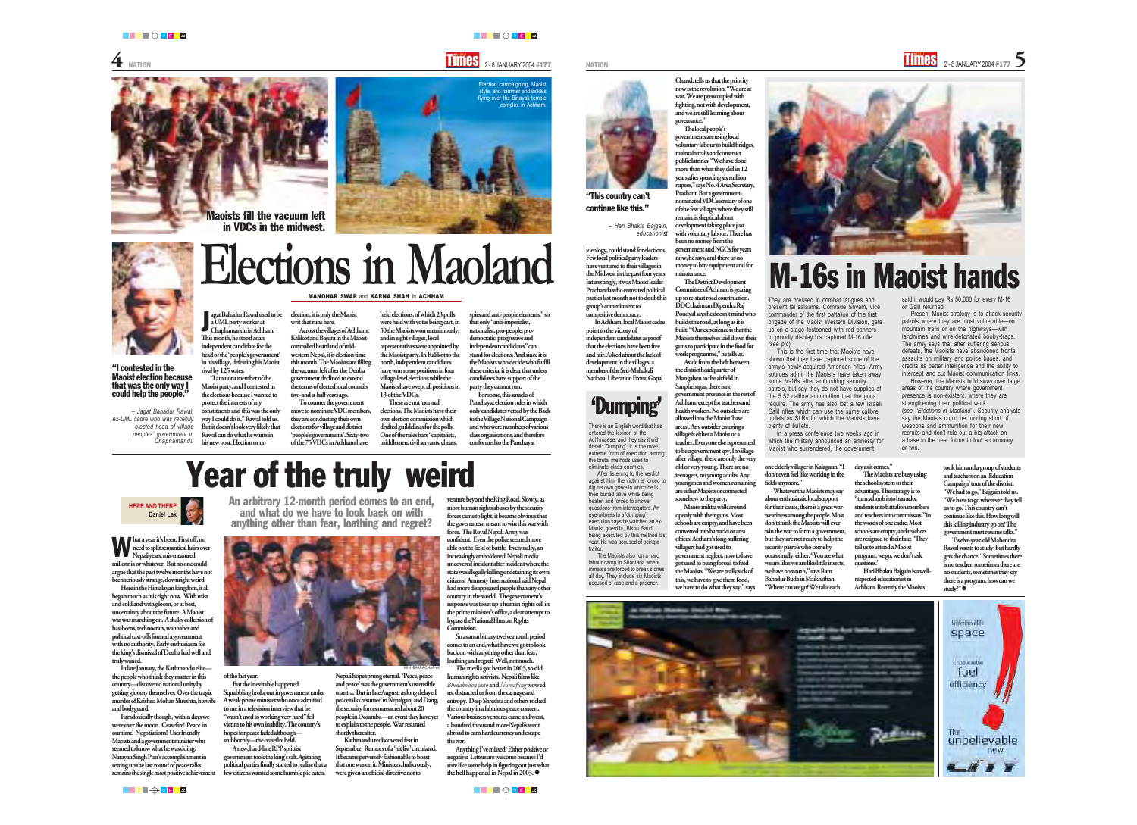### **HERE AND THERE Daniel Lak**

Here in the Himalayan kingdom, it all began much as it is right now. With mist and cold and with gloom, or at best, uncertainty about the future. A Maoist war was marching on. A shaky collection of has-beens, technocrats, wannabes and political cast-offs formed a government with no authority. Early enthusiasm for the king's dismissal of Deuba had well and truly waned.

Paradoxically though, within days we were over the moon. Ceasefire! Peace in our time! Negotiations! User friendly Maoists and a government minister who seemed to know what he was doing. Narayan Singh Pun's accomplishment in setting up the last round of peace talks remains the single most positive achievement

In late January, the Kathmandu elite the people who think they matter in this country—discovered national unity by getting gloomy themselves. Over the tragic murder of Krishna Mohan Shreshta, his wife and bodyguard.

## An arbitrary 12-month period comes to an end, Year of the truly weird

and what do we have to look back on with anything other than fear, loathing and regret?

of the last year.

A new, hard-line RPP splittist government took the king's salt. Agitating political parties finally started to realise that a few citizens wanted some humble pie eaten.

But the inevitable happened. Squabbling broke out in government ranks. A weak prime minister who once admitted to me in a television interview that he "wasn't used to working very hard" fell victim to his own inability. The country's hopes for peace faded although stubbornly—the ceasefire held. Nepali hope sprung eternal. 'Peace, peace and peace' was the government's ostensible mantra. But in late August, as long delayed peace talks resumed in Nepalganj and Dang, the security forces massacred about 20 people in Doramba—an event they have yet to explain to the people. War resumed shortly thereafter.

> Anything I've missed? Either positive or negative? Letters are welcome because I'd sure like some help in figuring out just what the hell happened in Nepal in 2003.  $\bullet$

███<del>▕</del>▏▖▛▗▗

TIMES 2-8 JANUARY 2004 #177 NATION 2-8 JANUARY 2004 #177 NATION 2-8 JANUARY 2004 #177



hat a year it's been. First off, no need to split semantical hairs over Nepali years, mis-measured millennia or whatever. But no one could argue that the past twelve months have not been seriously strange, downright weird. W

> Kathmandu rediscovered fear in September. Rumors of a 'hit list' circulated. It became perversely fashionable to boast that one was on it. Ministers, ludicrously, were given an official directive not to

venture beyond the Ring Road. Slowly, as more human rights abuses by the security forces came to light, it became obvious that the government meant to win this war with force. The Royal Nepali Army was confident. Even the police seemed more able on the field of battle. Eventually, an asingly emboldened Nepali media uncovered incident after incident where the state was illegally killing or detaining its own citizens. Amnesty International said Nepal had more disappeared people than any other country in the world. The government's response was to set up a human rights cell in the prime minister's office, a clear attempt to bypass the National Human Rights Commission.

ideology, could stand for elections. Few local political party leaders have ventured to their villages in the Midwest in the past four years. Interestingly, it was Maoist leader Prachanda who entreated political parties last month not to doubt his group's commitment to competitive democracy.

So as an arbitrary twelve month period comes to an end, what have we got to look back on with anything other than fear, loathing and regret? Well, not much.

The media got better in 2003, so did human rights activists. Nepali films like *Bhedako oon jasto* and *Numafung* wowed us, distracted us from the carnage and entropy. Deep Shreshta and others rocked the country in a fabulous peace concert. Various business ventures came and went, a hundred thousand more Nepalis went abroad to earn hard currency and escape the war.

"I am not a member of the Maoist party, and I contested in the elections because I wanted to protect the interests of my constituents and this was the only way I could do it," Rawal told us. But it doesn't look very likely that Rawal can do what he wants in his new post. Election or no

election, it is only the Maoist

writ that runs here. Across the villages of Achham, Kalikot and Bajura in the Maoistcontrolled heartland of midwestern Nepal, it is election time this month. The Maoists are filling the vacuum left after the Deuba government declined to extend the terms of elected local councils two-and-a-half years ago.

> The Maoists also run a labour camp in Shantada where inmates are forced to break stones all day. They include six Maoists accused of rape and a prisoner.



To counter the government move to nominate VDC members, they are conducting their own elections for village and district 'people's governments'. Sixty-two of the 75 VDCs in Achham have

held elections, of which 23 polls were held with votes being cast, in 30 the Maoists won unanimously, and in eight villages, local representatives were appointed by the Maoist party. In Kalikot to the north, independent candidates have won some positions in four village-level elections while the Maoists have swept all positions in 13 of the VDCs.

These are not 'normal' elections. The Maoists have their own election commission which drafted guildelines for the polls. One of the rules bars "capitalists, middlemen, civil servants, cheats,

spies and anti-people elements," so that only "anti-imperialist, nationalist, pro-people, prodemocratic, progressive and independent candidates" can stand for elections. And since it is the Maoists who decide who fulfill these criteria, it is clear that unless candidates have support of the party they cannot run.

For some, this smacks of Panchayat election rules in which only candidates vetted by the Back to the Village National Campaign and who were members of various class organisations, and therefore conformed to the Panchayat

> Twelve-year-old Mahendra Rawal wants to study, but hardly gets the chance. "Sometimes ther is no teacher, sometimes there are no students, sometimes they say there is a program, how can we study?" ●



In Achham, local Maoist cadre point to the victory of independent candidates as proof that the elections have been free and fair. Asked about the lack of development in the villages, a member of the Seti-Mahakali National Liberation Front, Gopal

Election campaigning, Maoist style, and hammer and sickles ying over the Binayak temple complex in Achham

Chand, tells us that the priority now is the revolution. "We are at war. We are preoccupied with fighting, not with development,

and we are still learning about governance." The local people's governments are using local voluntary labour to build bridges, maintain trails and construct public latrines. "We have done more than what they did in 12 years after spending six million rupees," says No. 4 Area Secretary, Prashant. But a governmentnominated VDC secretary of one

of the few villages where they still remain, is skeptical about development taking place just with voluntary labour. There has been no money from the government and NGOs for years now, he says, and there us no money to buy equipment and for maintenance.

The District Development Committee of Achham is gearing up to re-start road construction. DDC chairman Dipendra Raj Poudyal says he doesn't mind who builds the road, as long as it is built. "Our experience is that the Maoists themselves laid down their guns to participate in the food for work programme," he tells us.

Aside from the belt between the district headquarter of Mangalsen to the airfield in Sanphebagar, there is no government presence in the rest of Achham, except for teachers and health workers. No outsiders are allowed into the Maoist 'base areas'. Any outsider entering a village is either a Maoist or a teacher. Everyone else is presumed

to be a government spy. In village after village, there are only the very old or very young. There are no teenagers, no young adults. Any young men and women remaining are either Maoists or connected somehow to the party.

Maoist militia walk around openly with their guns. Most schools are empty, and have been converted into barracks or area offices. Accham's long-suffering villagers had got used to government neglect, now to ha got used to being forced to feed the Maoists. "We are really sick of this, we have to give them food, we have to do what they say," says

agat Bahadur Rawal used to be a UML party worker at Chaphamandu in Achham. This month, he stood as an independent candidate for the head of the 'people's government' in his village, defeating his Maoist rival by 125 votes. J

## **Elections in Maoland** MANOHAR SWAR and KARNA SHAH in ACHHAM

There is an English word that has entered the lexicon of the Achhmaese, and they say it with dread: 'Dumping'. It is the most extreme form of execution among the brutal methods used to eliminate class enemies.

After listening to the verdict against him, the victim is forced to dig his own grave in which he is then buried alive while being beaten and forced to answer questions from interrogators. An eye-witness to a 'dumping' execution says he watched an ex-Maoist guerrilla, Bishu Saud, being executed by this method last year. He was accused of being a traitor.

They are dressed in combat fatigues and present lal salaams. Comrade Shyam, vice commander of the first battalion of the first brigade of the Maoist Western Division, gets up on a stage festooned with red banners to proudly display his captured M-16 rifle *(see pic*).

This is the first time that Maoists have shown that they have captured some of the army's newly-acquired American rifles. Army sources admit the Maoists have taken away some M-16s after ambushing security patrols, but say they do not have supplies of the 5.52 calibre ammunition that the guns require. The army has also lost a few Israeli Galil rifles which can use the same calibre bullets as SLRs for which the Maoists have plenty of bullets.

In a press conference two weeks ago in which the military announced an amnesty for Maoist who surrendered, the government

one elderly villager in Kalagaun. "I don't even feel like working in the fields anymore."

Whatever the Maoists may say about enthusiastic local support for their cause, there is a great warweariness among the people. Most don't think the Maoists will ever win the war to form a government, but they are not ready to help the security patrols who come by occasionally, either. "You see what we are like: we are like little insects, we have no worth," says Ram Bahadur Buda in Maikhsthan. "Where can we go? We take each



"This country can't continue like this."

*– Hari Bhakta Bajgain, educationist*

### "I contested in the Maoist election because that was the only way I could help the people."

*– Jagat Bahadur Rawal, ex-UML cadre who was recently elected head of village peoples' government in Chaphamandu* Maoists fill the vacuum left in VDCs in the midwest.



or Galil returned.

Present Maoist strategy is to attack security patrols where they are most vulnerable—on

mountain trails or on the highways—with landmines and wire-detonated booby-traps. The army says that after suffering serious defeats, the Maoists have abandoned frontal assaults on military and police bases, and credits its better intelligence and the ability to intercept and cut Maoist communication links.

## said it would pay Rs 50,000 for every M-16 M-16s in Maoist hands

However, the Maoists hold sway over large areas of the country where government presence is non-existent, where they are strengthening their political work (*see, 'Elections in Maoland'*). Security analysts say the Maoists could be running short of weapons and ammunition for their new recruits and don't rule out a big attack on a base in the near future to loot an armoury or two.

### day as it comes."

The Maoists are busy using the school system to their advantage. The strategy is to "turn schools into barracks, students into battalion members and teachers into commissars," in the words of one cadre. Most schools are empty, and teachers are resigned to their fate: "They tell us to attend a Maoist program, we go, we don't ask questions."

Hari Bhakta Bajgain is a wellrespected educationist in Achham. Recently the Maoists

took him and a group of students and teachers on an 'Education Campaign' tour of the district. "We had to go," Bajgain told us. "We have to go wherever they tell us to go. This country can't continue like this. How long will this killing industry go on? The government must resume talks."

## 'Dumping'

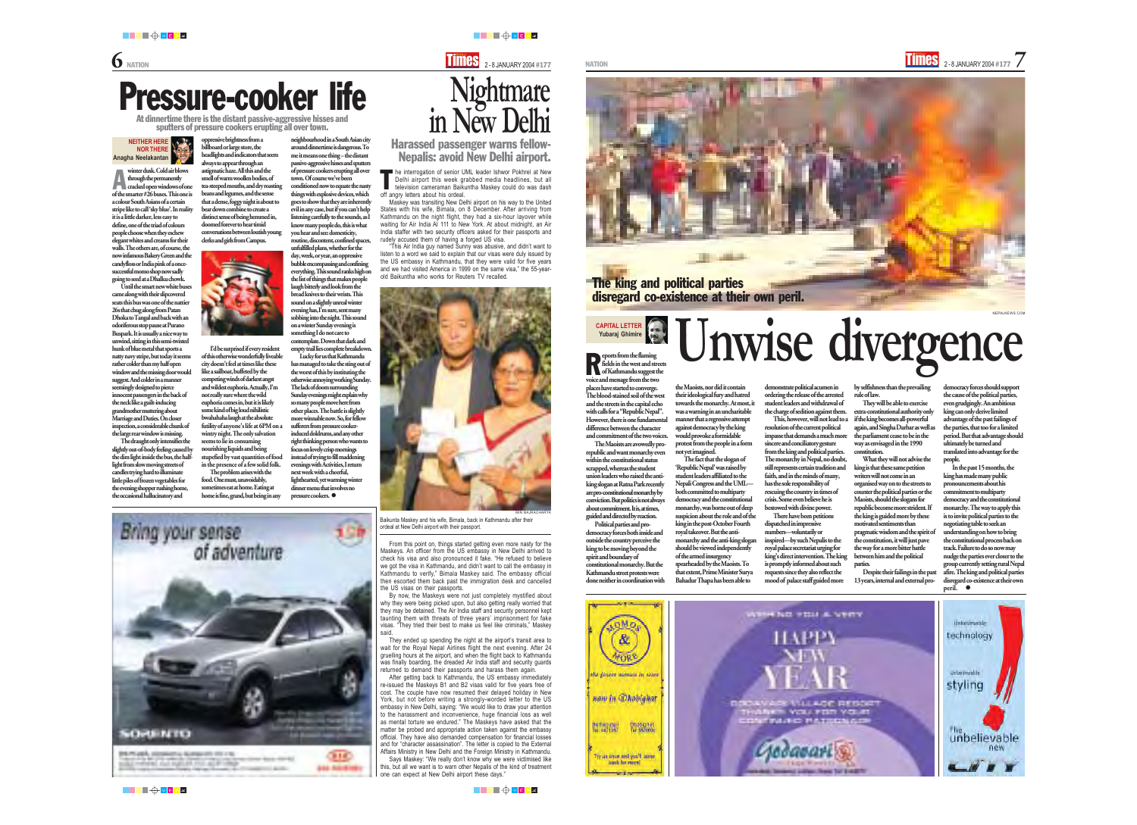

winter dusk. Cold air blows through the permanently winter dusk. Cold air blows<br>through the permanently<br>cracked open windows of one of the smarter #26 buses. This one is a colour South Asians of a certain stripe like to call 'sky blue'. In reality it is a little darker, less easy to define, one of the triad of colours people choose when they eschew elegant whites and creams for their walls. The others are, of course, the now infamous Bakery Green and the candyfloss or India pink of a oncesuccessful momo shop now sadly going to seed at a Dhalku chowk.

> eports from the flaming fields in the west and streets of Kathmandu suggest the voice and message from the two places have started to converge. The blood-stained soil of the west and the streets in the capital echo with calls for a "Republic Nepal". However, there is one fundamental difference between the character and commitment of the two voices. Ports from the flaming<br>fields in the west and streets

Until the smart new white buses came along with their slipcovered seats this bus was one of the nattier 26s that chug along from Patan Dhoka to Tangal and back with an odoriferous stop pause at Purano Buspark. It is usually a nice way to unwind, sitting in this semi-twisted hunk of blue metal that sports a natty navy stripe, but today it seems rather colder than my half open window and the missing door would suggest. And colder in a manner seemingly designed to pierce innocent passengers in the back of the neck like a guilt-inducing grandmother muttering about Marriage and Duties. On closer inspection, a considerable chunk of the large rear window is missing.

The draught only intensifies the slightly out-of-body feeling caused by the dim light inside the bus, the halflight from slow moving streets of candles trying hard to illuminate little piles of frozen vegetables for the evening shopper rushing home, the occasional hallucinatory and

The Maoists are avowedly prorepublic and want monarchy even within the constitutional status scrapped, whereas the student union leaders who raised the antiking slogan at Ratna Park recently are pro-constitutional monarchy by conviction. But politics is not always about commitment. It is, at times, guided and directed by reaction. Political parties and pro-

democracy forces both inside and outside the country perceive the king to be moving beyond the spirit and boundary of constitutional monarchy. But the Kathmandu street protests were done neither in coordination with



**CAPITAL LETTER Yubaraj Ghimire**

> In the past 15 months, the king has made many public pronouncements about his commitment to multiparty democracy and the constitutional monarchy. The way to apply this is to invite political parties to the negotiating table to seek an understanding on how to bring the constitutional process back on track. Failure to do so now may nudge the parties ever closer to the group currently setting rural Nepal afire. The king and political parties disregard co-existence at their own peril.  $\bullet$



not yet imagined. The fact that the slogan of 'Republic Nepal' was raised by student leaders affiliated to the Nepali Congress and the UML both committed to multiparty democracy and the constitutional monarchy, was borne out of deep suspicion about the role and of the king in the post-October Fourth royal takeover. But the antimonarchy and the anti-king slogan should be viewed independently of the armed insurgency spearheaded by the Maoists. To that extent, Prime Minister Surya Bahadur Thapa has been able to

demonstrate political acumen in ordering the release of the arrested student leaders and withdrawal of the charge of sedition against them.

This, however, will not lead to a resolution of the current political impasse that demands a much more sincere and conciliatory gesture from the king and political parties. The monarchy in Nepal, no doubt, still represents certain tradition and faith, and in the minds of many, has the sole responsibility of rescuing the country in times of crisis. Some even believe he is bestowed with divine power.

the Maoists, nor did it contain their ideological fury and hatred towards the monarchy. At most, it was a warning in an uncharitable manner that a regressive attempt against democracy by the king would provoke a formidable protest from the people in a form **Unwise divergence**

Lucky for us that Kathmandu has managed to take the sting out of the worst of this by instituting the otherwise annoying working Sunday. The lack of doom surrounding Sunday evenings might explain why so many people move here from other places. The battle is slightly more winnable now. So, for fellow sufferers from pressure cookerinduced doldrums, and any other right thinking person who wants to focus on lovely crisp mornings instead of trying to fill maddening evenings with Activities, I return next week with a cheerful, lighthearted, yet warming winter dinner menu that involves no pressure cookers.  $\bullet$ 



There have been petitions dispatched in impressive numbers—voluntarily or inspired—by such Nepalis to the royal palace secretariat urging for king's direct intervention. The king is promptly informed about such requests since they also reflect the mood of palace staff guided more

by selfishness than the prevailing rule of law.

They will be able to exercise extra-constitutional authority only if the king becomes all-powerful again, and Singha Darbar as well as the parliament cease to be in the way as envisaged in the 1990 constitution.

What they will not advise the king is that these same petition writers will not come in an organised way on to the streets to counter the political parties or the Maoists, should the slogans for republic become more strident. If the king is guided more by these motivated sentiments than pragmatic wisdom and the spirit of the constitution, it will just pave the way for a more bitter battle between him and the political parties.

Despite their failings in the past 13 years, internal and external pro-

democracy forces should support the cause of the political parties, even grudgingly. An ambitious king can only derive limited advantage of the past failings of the parties, that too for a limited period. But that advantage should ultimately be turned and translated into advantage for the people.





NEPALNEWS.COM

he interrogation of senior UML leader Ishwor Pokhrel at New Delhi airport this week grabbed media headlines, but all television cameraman Baikuntha Maskey could do was dash off angry letters about his ordeal. T

oppressive brightness from a billboard or large store, the headlights and indicators that seem always to appear through an astigmatic haze. All this and the smell of warm woollen bodies, of tea-steeped mouths, and dry roasting beans and legumes, and the sense that a dense, foggy night is about to bear down combine to create a distinct sense of being hemmed in, doomed forever to hear timid conversations between loutish young clerks and girls from Campus.



I'd be surprised if every resident of this otherwise wonderfully liveable city doesn't feel at times like these like a sailboat, buffeted by the competing winds of darkest angst and wildest euphoria. Actually, I'm not really sure where the wild euphoria comes in, but it is likely some kind of big loud nihilistic bwahahaha laugh at the absolute futility of anyone's life at 6PM on a wintry night. The only salvation seems to lie in consuming nourishing liquids and being stupefied by vast quantities of food in the presence of a few solid folk. The problem arises with the

food. One must, unavoidably, sometimes eat at home. Eating at home is fine, grand, but being in any neighbourhood in a South Asian city around dinnertime is dangerous. To me it means one thing – the distant

passive-aggressive hisses and sputters of pressure cookers erupting all over town. Of course we've been conditioned now to equate the nasty things with explosive devices, which goes to show that they are inherently evil in any case, but if you can't help listening carefully to the sounds, as I know many people do, this is what you hear and see: domesticity, routine, discontent, confined spaces, unfulfilled plans, whether for the day, week, or year, an oppressive bubble encompassing and confining everything. This sound ranks high on the list of things that makes people laugh bitterly and look from the bread knives to their wrists. This sound on a slightly unreal winter evening has, I'm sure, sent many sobbing into the night. This sound on a winter Sunday evening is something I do not care to contemplate. Down that dark and empty trail lies complete breakdown.

## Pressure-cooker life

At dinnertime there is the distant passive-aggressive hisses and sputters of pressure cookers erupting all over town.

**NEITHER HERE NOR THERE Anagha Neelakantan**

> Maskey was transiting New Delhi airport on his way to the United States with his wife, Bimala, on 8 December. After arriving from Kathmandu on the night flight, they had a six-hour layover while waiting for Air India AI 111 to New York. At about midnight, an Air India staffer with two security officers asked for their passports and rudely accused them of having a forged US visa.

> "This Air India guy named Sunny was abusive, and didn't want to listen to a word we said to explain that our visas were duly issued by the US embassy in Kathmandu, that they were valid for five years and we had visited America in 1999 on the same visa," the 55-yearold Baikuntha who works for Reuters TV recalled.



From this point on, things started getting even more nasty for the Maskeys. An officer from the US embassy in New Delhi arrived to check his visa and also pronounced it fake. "He refused to believe we got the visa in Kathmandu, and didn't want to call the embassy in Kathmandu to verify," Bimala Maskey said. The embassy official then escorted them back past the immigration desk and cancelled the US visas on their passports.

By now, the Maskeys were not just completely mystified about why they were being picked upon, but also getting really worried that they may be detained. The Air India staff and security personnel kept taunting them with threats of three years' imprisonment for fake visas. "They tried their best to make us feel like criminals," Maskey said.

They ended up spending the night at the airport's transit area to wait for the Royal Nepal Airlines flight the next evening. After 24 gruelling hours at the airport, and when the flight back to Kathmandu was finally boarding, the dreaded Air India staff and security guards returned to demand their passports and harass them again.

After getting back to Kathmandu, the US embassy immediately re-issued the Maskeys B1 and B2 visas valid for five years free of cost. The couple have now resumed their delayed holiday in New York, but not before writing a strongly-worded letter to the US embassy in New Delhi, saying: "We would like to draw your attention to the harassment and inconvenience, huge financial loss as well as mental torture we endured." The Maskeys have asked that the matter be probed and appropriate action taken against the embassy official. They have also demanded compensation for financial losses and for "character assassination". The letter is copied to the External Affairs Ministry in New Delhi and the Foreign Ministry in Kathmandu.

Says Maskey: "We really don't know why we were victimised like this, but all we want is to warn other Nepalis of the kind of treatment one can expect at New Delhi airport these days."

███▜<sup></sup>▕▊▅▏▓▛

███<del>ᠿ</del>◦<mark>€</mark>⋗≚

**Nightmare in New Delhi** Harassed passenger warns fellow-Nepalis: avoid New Delhi airport.

Baikunta Maskey and his wife, Bimala, back in Kathmandu after their ordeal at New Delhi airport with their passport.

MIN BAJRACHARYA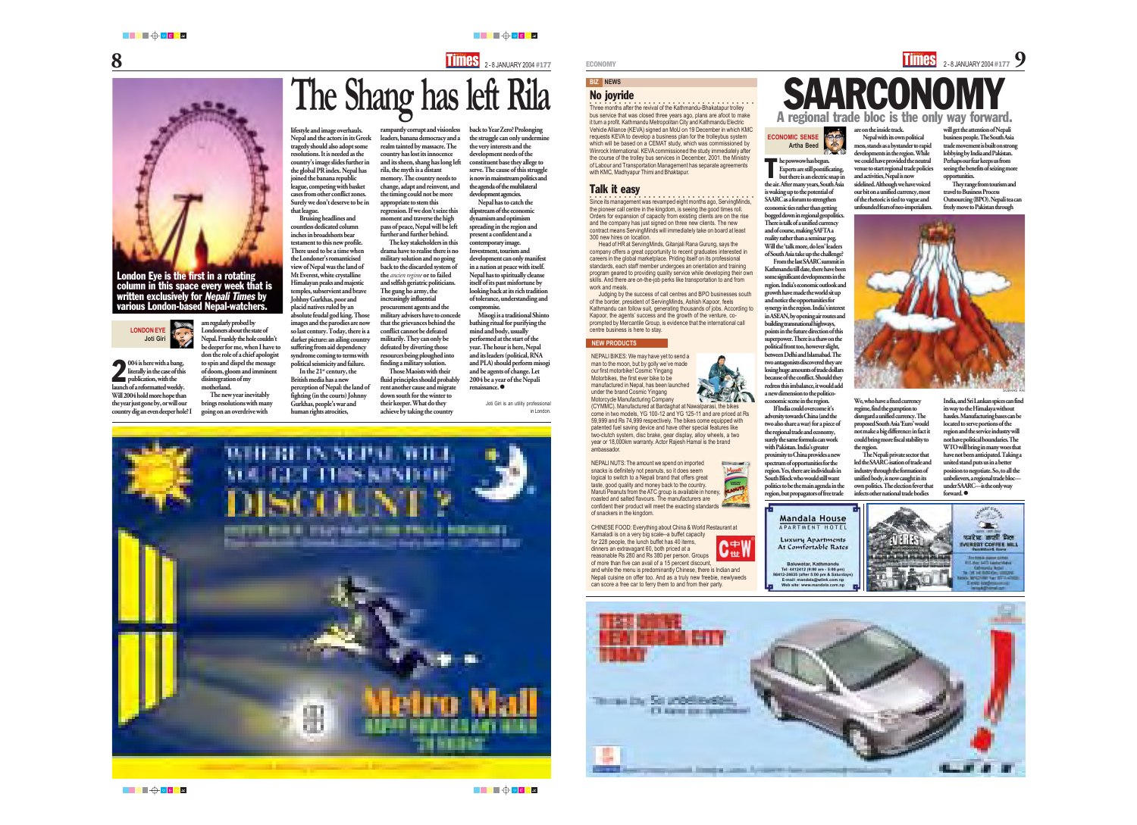Experts are still pontificating, but there is an electric snap in the air. After many years, South Asia is waking up to the potential of SAARC as a forum to strengthen economic ties rather than getting bogged down in regional geopolitics. There is talk of a unified currency and of course, making SAFTA a reality rather than a seminar peg. Will the 'talk more, do less' leaders of South Asia take up the challenge? From the last SAARC summit in Kathmandu till date, there have been some significant developments in the region. India's economic outlook and growth have made the world sit up and notice the opportunities for synergy in the region. India's interest in ASEAN, by opening air routes and building transnational highways, points in the future direction of this superpower. There is a thaw on the political front too, however slight, between Delhi and Islamabad. The two antagonists discovered they are losing huge amounts of trade dollars because of the conflict. Should they redress this imbalance, it would add a new dimension to the politicoeconomic scene in the region. If India could overcome it's adversity towards China (and the two also share a war) for a piece of the regional trade and economy, surely the same formula can work with Pakistan. India's greater proximity to China provides a new spectrum of opportunities for the region. Yes, there are individuals in South Block who would still want politics to be the main agenda in the region, but propagators of free trade

**2004** is here with a bang,<br>literally in the case of this<br>publication, with the literally in the case of this publication, with the launch of a reformatted weekly. Will 2004 hold more hope than the year just gone by, or will our country dig an even deeper hole? I SAARCONOMY

are on the inside track.

Nepal with its own political mess, stands as a bystander to rapid developments in the region. While we could have provided the neutral venue to start regional trade policies and activities, Nepal is now sidelined. Although we have voiced our bit on a unified currency, most of the rhetoric is tied to vague and unfounded fears of neo-imperialism.

We, who have a fixed currency regime, find the gumption to disregard a unified currency. The proposed South Asia 'Euro' would not make a big difference: in fact it could bring more fiscal stability to the region.

The Nepali private sector that led the SAARC-isation of trade and industry through the formation of unified body, is now caught in its own politics. The election fever that infects other national trade bodies

## **BIZ NEWS**

In the  $21<sup>st</sup>$  century, the British media has a new perception of Nepal: the land of fighting (in the courts) Johnny Gurkhas, people's war and human rights atrocities,

back to Year Zero? Prolonging the struggle can only undermine the very interests and the development needs of the constituent base they allege to serve. The cause of this struggle is now in mainstream politics and the agenda of the multilateral development agencies.

am regularly probed by Londoners about the state of Nepal. Frankly the hole couldn't be deeper for me, when I have to don the role of a chief apologist to spin and dispel the message of doom, gloom and imminent disintegration of my motherland.

The new year inevitably brings resolutions with many going on an overdrive with

Joti Giri is an utility professiona in London.



rampantly corrupt and visionless leaders, banana democracy and a realm tainted by massacre. The country has lost its innocence and its sheen, shang has long left rila, the myth is a distant memory. The country needs to change, adapt and reinvent, and the timing could not be more appropriate to stem this regression. If we don't seize this moment and traverse the high pass of peace, Nepal will be left further and further behind.

> India, and Sri Lankan spices can find its way to the Himalaya without hassles. Manufacturing bases can be located to serve portions of the region and the service industry will not have political boundaries. The WTO will bring in many woes that have not been anticipated. Taking a united stand puts us in a better position to negotiate. So, to all the unbelievers, a regional trade bloc under SAARC—is the only way forward.  $\bullet$

The key stakeholders in this drama have to realise there is no military solution and no going back to the discarded system of the *ancien regime* or to failed and selfish geriatric politicians. The gung ho army, the increasingly influential procurement agents and the military advisers have to concede that the grievances behind the conflict cannot be defeated militarily. They can only be defeated by diverting those resources being ploughed into finding a military solution.

Three months after the revival of the Kathmandu-Bhakatapur trolley bus service that was closed three years ago, plans are afoot to make it turn a profit. Kathmandu Metropolitan City and Kathmandu Electric Vehicle Alliance (KEVA) signed an MoU on 19 December in which KMC requests KEVA to develop a business plan for the trolleybus system which will be based on a CEMAT study, which was commissioned by Winrock International. KEVA commissioned the study immediately after the course of the trolley bus services in December, 2001. the Ministry of Labour and Transportation Management has separate agreements with KMC, Madhyapur Thimi and Bhaktapur.

Those Maoists with their fluid principles should probably rent another cause and migrate down south for the winter to their keeper. What do they achieve by taking the country

**The Shang has left Rila**



**COO**<br>Since its management was revamped eight months ago, ServingMinds, the pioneer call centre in the kingdom, is seeing the good times roll. Orders for expansion of capacity from existing clients are on the rise and the company has just signed on three new clients. The new contract means ServingMinds will immediately take on board at least

lifestyle and image overhauls. Nepal and the actors in its Greek tragedy should also adopt some resolutions. It is needed as the country's image slides further in the global PR index. Nepal has joined the banana republic league, competing with basket cases from other conflict zones. Surely we don't deserve to be in that league.

> Judging by the success of call centres and BPO businesses south of the border, president of ServingMinds, Ashish Kapoor, feels Kathmandu can follow suit, generating thousands of jobs. According to Kapoor, the agents' success and the growth of the venture, coprompted by Mercantile Group, is evidence that the international call centre business is here to stay.

Bruising headlines and countless dedicated column inches in broadsheets bear testament to this new profile. There used to be a time when the Londoner's romanticised view of Nepal was the land of Mt Everest, white crystalline Himalayan peaks and majestic temples, subservient and brave Johhny Gurkhas, poor and placid natives ruled by an absolute feudal god king. Those images and the parodies are now so last century. Today, there is a darker picture: an ailing country suffering from aid dependency syndrome coming to terms with political seismicity and failure.

Nepal has to catch the slipstream of the economic dynamism and optimism spreading in the region and present a confident and a contemporary image. Investment, tourism and development can only manifest in a nation at peace with itself. Nepal has to spiritually cleanse itself of its past misfortune by looking back at its rich tradition of tolerance, understanding and compromise.



**he powwow has begun.**<br>Experts are still pontified<br>but there is an electric.

Misogi is a traditional Shinto bathing ritual for purifying the mind and body, usually performed at the start of the year. The hour is here, Nepal and its leaders (political, RNA and PLA) should perform misogi and be agents of change. Let 2004 be a year of the Nepali renaissance. z

### London Eye is the first in a rotating column in this space every week that is written exclusively for Nepali Times by various London-based Nepal-watchers.

### **LONDON EYE Joti Giri**

will get the attention of Nepali business people. The South Asia trade movement is built on strong lobbying by India and Pakistan. Perhaps our fear keeps us from seeing the benefits of seizing more opportunities.

They range from tourism and travel to Business Process Outsourcing (BPO). Nepali tea can freely move to Pakistan through



No joyride

### Talk it easy

300 new hires on location.

Head of HR at ServingMinds, Gitanjali Rana Gurung, says the company offers a great opportunity to recent graduates interested in careers in the global marketplace. Priding itself on its professional standards, each staff member undergoes an orientation and training program geared to providing quality service while developing their own skills. And there are on-the-job perks like transportation to and from

work and meals.

### **NEW PRODUCTS**

SUBHAS RAI



NEPALI BIKES: We may have yet to send a man to the moon, but by golly we've made manufactured in Nepal, has been launched



our first motorbike! Cosmic Yingang Motorbikes, the first ever bike to be under the brand Cosmic Yingang Motorcycle Manufacturing Company ambassador.

(CYMMC). Manufactured at Bardaghat at Nawalparasi, the bikes come in two models, YG 100-12 and YG 125-11 and are priced at Rs 59,999 and Rs 74,999 respectively. The bikes come equipped with patented fuel saving device and have other special features like two-clutch system, disc brake, gear display, alloy wheels, a two year or 18,000km warranty. Actor Rajesh Hamal is the brand

> **Communication** Maruti

Λ⇔Ν

V世l

NEPALI NUTS: The amount we spend on imported snacks is definitely not peanuts, so it does seem logical to switch to a Nepali brand that offers great taste, good quality and money back to the country. Maruti Peanuts from the ATC group is available in honey, roasted and salted flavours. The manufacturers are confident their product will meet the exacting standards of snackers in the kingdom.



**Mandala House** 

APARTMENT HOTEL

Luxury Apartments

At Consfortable Rates

Baluwatar, Kathmandu Tel: 4412412 (9)00 am - 5:00 pm 88412-24635 (after 5:00 pm & Salam E-mail: maschin@wilnk.com.rg Web site: www.marciate.com.np

CHINESE FOOD: Everything about China & World Restaurant at

Kamaladi is on a very big scale--a buffet capacity for 228 people, the lunch buffet has 40 items, dinners an extravagant 60, both priced at a reasonable Rs 280 and Rs 380 per person. Groups

of more than five can avail of a 15 percent discount, and while the menu is predominantly Chinese, there is Indian and Nepali cuisine on offer too. And as a truly new freebie, newlyweds can score a free car to ferry them to and from their party.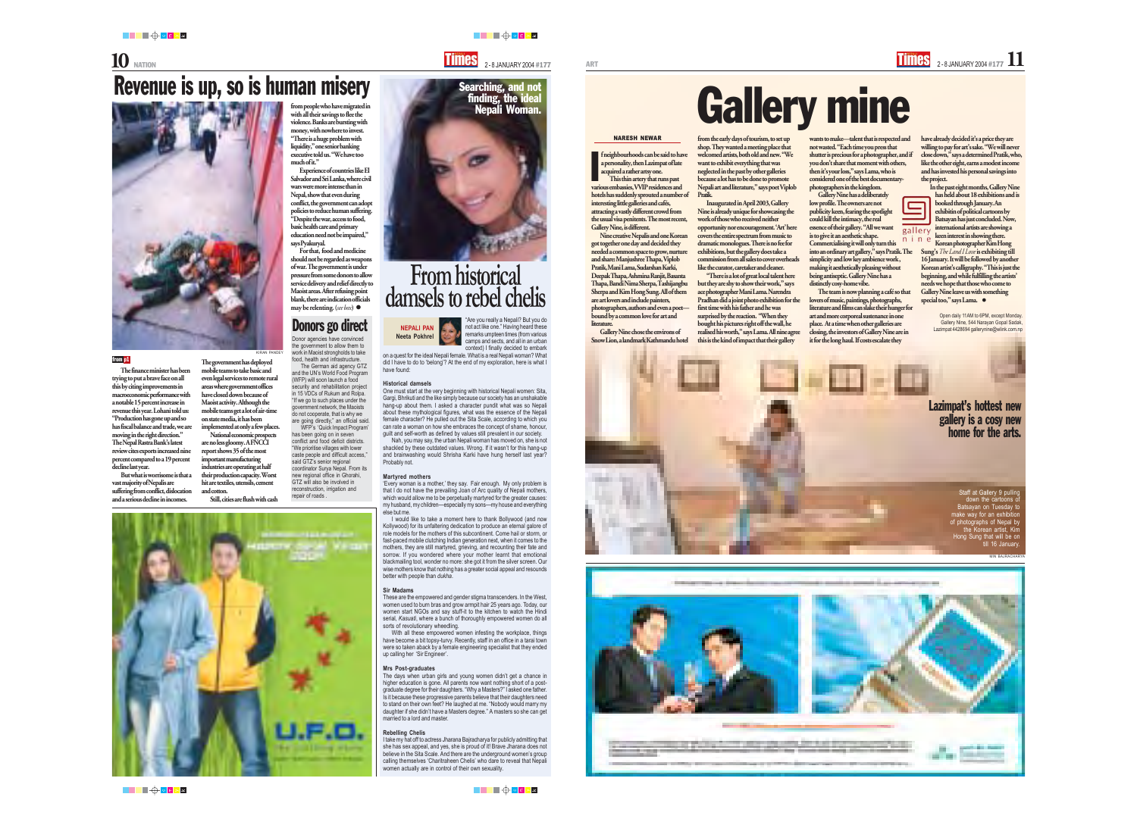"Are you really a Nepali? But you do not act like one." Having heard these remarks umpteen times (from various camps and sects, and all in an urban context) I finally decided to embark

on a quest for the ideal Nepali female. What is a real Nepali woman? What did I have to do to 'belong'? At the end of my exploration, here is what I have found:

### **Historical damsels**

One must start at the very beginning with historical Nepali women: Sita, Gargi, Bhrikuti and the like simply because our society has an unshakable hang-up about them. I asked a character pundit what was so Nepali about these mythological figures, what was the essence of the Nepali female character? He pulled out the Sita Scale, according to which you can rate a woman on how she embraces the concept of shame, honour, guilt and self-worth as defined by values still prevalent in our society.

Nah, you may say, the urban Nepali woman has moved on, she is not shackled by these outdated values. Wrong. If it wasn't for this hang-up and brainwashing would Shrisha Karki have hung herself last year? Probably not.

### **Martyred mothers**

'Every woman is a mother,' they say. Fair enough. My only problem is that I do not have the prevailing Joan of Arc quality of Nepali mothers, which would allow me to be perpetually martyred for the greater causes: my husband, my children—especially my sons—my house and everything else but me.

I would like to take a moment here to thank Bollywood (and now Kollywood) for its unfaltering dedication to produce an eternal galore of role models for the mothers of this subcontinent. Come hail or storm, or fast-paced mobile clutching Indian generation next, when it comes to the mothers, they are still martyred, grieving, and recounting their fate and sorrow. If you wondered where your mother learnt that emotional blackmailing tool, wonder no more: she got it from the silver screen. Our wise mothers know that nothing has a greater social appeal and resounds better with people than *dukha*.

### **Sir Madams**

These are the empowered and gender stigma transcenders. In the West, women used to burn bras and grow armpit hair 25 years ago. Today, our women start NGOs and say stuff-it to the kitchen to watch the Hindi serial, *Kasuati*, where a bunch of thoroughly empowered women do all sorts of revolutionary wheedling.

With all these empowered women infesting the workplace, things have become a bit topsy-turvy. Recently, staff in an office in a tarai town were so taken aback by a female engineering specialist that they ended up calling her 'Sir Engineer'.

neighbourhoods can be said to have a personality, then Lazimpat of late acquired a rather artsy one. This thin artery that runs past various embassies, VVIP residences and hotels has suddenly sprouted a number of interesting little galleries and cafés, attracting a vastly different crowd from

### **Mrs Post-graduates**

The days when urban girls and young women didn't get a chance in higher education is gone. All parents now want nothing short of a postgraduate degree for their daughters. "Why a Masters?" I asked one father. Is it because these progressive parents believe that their daughters need to stand on their own feet? He laughed at me. "Nobody would marry my daughter if she didn't have a Masters degree." A masters so she can get married to a lord and master.

### **Rebelling Chelis**

I take my hat off to actress Jharana Bajracharya for publicly admitting that she has sex appeal, and yes, she is proud of it! Brave Jharana does not believe in the Sita Scale. And there are the underground women's group calling themselves 'Charitraheen Chelis' who dare to reveal that Nepali women actually are in control of their own sexuality.

## **From historical damsels to rebel chelis**



███▜<sup>▗</sup>▅▗▗▗

Korean photographer Kim Hong Sung's *The Land I Love* is exhibiting till 16 January. It will be followed by another Korean artist's calligraphy. "This is just the beginning, and while fulfilling the artists' needs we hope that those who come to Gallery Nine leave us with something special too," says Lama.  $\bullet$ 

**NEPALI PAN Neeta Pokhrel**



Staff at Gallery 9 pulling down the cartoons of Batsayan on Tuesday to make way for an exhibition of photographs of Nepal by the Korean artist, Kim Hong Sung that will be on till 16 January

from the early days of tourism, to set up shop. They wanted a meeting place that welcomed artists, both old and new. "We want to exhibit everything that was neglected in the past by other galleries because a lot has to be done to promote Nepali art and literature," says poet Viplob Pratik.

The finance minister has been trying to put a brave face on all this by citing improvements in macroeconomic performance with a notable 15 percent increase in revenue this year. Lohani told us: "Production has gone up and so has fiscal balance and trade, we are moving in the right direction." The Nepal Rastra Bank's latest review cites exports increased nine percent compared to a 19 percent decline last year.

Inaugurated in April 2003, Gallery Nine is already unique for showcasing the work of those who received neither opportunity nor encouragement. 'Art' here covers the entire spectrum from music to dramatic monologues. There is no fee for exhibitions, but the gallery does take a commission from all sales to cover overheads like the curator, caretaker and cleaner.

"There is a lot of great local talent here but they are shy to show their work," says ace photographer Mani Lama. Narendra Pradhan did a joint photo exhibition for the first time with his father and he was surprised by the reaction. "When they bought his pictures right off the wall, he realised his worth," says Lama. All nine agree this is the kind of impact that their gallery

the usual visa penitents. The most recent, Nine creative Nepalis and one Korean

Gallery Nine, is different.

got together one day and decided they needed a common space to grow, nurture and share: Manjushree Thapa, Viplob Pratik, Mani Lama, Sudarshan Karki, Deepak Thapa, Ashmina Ranjit, Basanta Thapa, Bandi Nima Sherpa, Tashijangbu Sherpa and Kim Hong Sung. All of them are art lovers and include painters, photographers, authors and even a poet bound by a common love for art and

literature.







# Gallery mine

Gallery Nine chose the environs of Snow Lion, a landmark Kathmandu hotel

### NARESH NEWAR

I

wants to make—talent that is respected and not wasted. "Each time you press that shutter is precious for a photographer, and if you don't share that moment with others, then it's your loss," says Lama, who is considered one of the best documentaryphotographers in the kingdom.

Gallery Nine has a deliberately low profile. The owners are not publicity keen, fearing the spotlight could kill the intimacy, the real essence of their gallery. "All we want gallery is to give it an aesthetic shape. Commercialising it will only turn this into an ordinary art gallery," says Pratik. The simplicity and low key ambience work , making it aesthetically pleasing without being antiseptic. Gallery Nine has a distinctly cosy-home vibe.

The team is now planning a café so that lovers of music, paintings, photographs, literature and films can slake their hunger for art and more corporeal sustenance in one place. At a time when other galleries are closing, the investors of Gallery Nine are in it for the long haul. If costs escalate they

have already decided it's a price they are willing to pay for art's sake. "We will never close down," says a determined Pratik, who, like the other eight, earns a modest income and has invested his personal savings into the project.

In the past eight months, Gallery Nine has held about 18 exhibitions and is booked through January. An exhibitin of political cartoons by Batsayan has just concluded. Now, international artists are showing a keen interest in showing there.

Open daily 11AM to 6PM, except Monday. Gallery Nine, 544 Narayan Gopal Sadak, Lazimpat 4428694 gallerynine@wlink.com.np

MIN BAJRACHARYA



**STATISTICS** 



But what is worrisome is that a vast majority of Nepalis are suffering from conflict, dislocation and a serious decline in incomes.

# Revenue is up, so is human misery



The government has deployed mobile teams to take basic and even legal services to remote rural areas where government offices have closed down because of Maoist activity. Although the mobile teams get a lot of air-time on state media, it has been implemented at only a few places.

National economic prospects are no less gloomy. A FNCCI report shows 35 of the most important manufacturing industries are operating at half their production capacity. Worst hit are textiles, utensils, cement and cotton.

Still, cities are flush with cash

from people who have migrated in with all their savings to flee the violence. Banks are bursting with money, with nowhere to invest. "There is a huge problem with liquidity," one senior banking executive told us. "We have too much of it."

Experience of countries like El Salvador and Sri Lanka, where civil wars were more intense than in Nepal, show that even during conflict, the government can adopt policies to reduce human suffering. "Despite the war, access to food, basic health care and primary education need not be impaired," says Pyakuryal.

For that, food and medicine should not be regarded as weapons of war. The government is under pressure from some donors to allow service delivery and relief directly to Maoist areas. After refusing point blank, there are indication officials may be relenting. (*see box*) z

### from p1

KIRAN PANDEY

Donor agencies have convinced the government to allow them to work in Maoist strongholds to take food, health and infrastructure.

The German aid agency GTZ and the UN's World Food Program (WFP) will soon launch a food security and rehabilitation project in 15 VDCs of Rukum and Rolpa. "If we go to such places under the government network, the Maoists do not cooperate, that is why we are going directly," an official said.

WFP's 'Quick Impact Program' has been going on in seven conflict and food deficit districts. "We prioritise villages with lower caste people and difficult access," said GTZ's senior regional coordinator Surya Nepal. From its new regional office in Ghorahi, GTZ will also be involved in reconstruction, irrigation and repair of roads .



## Donors go direct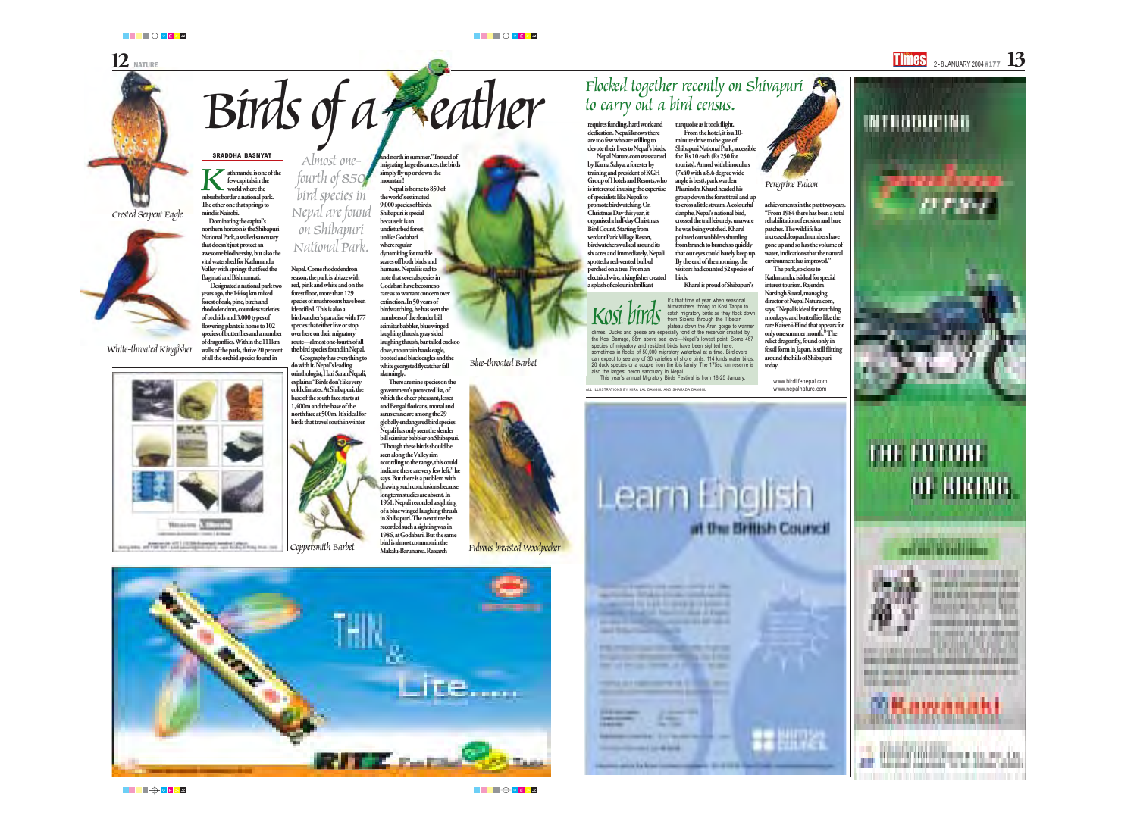Birds of a peaked togeth Nepal Nature.com was started by Karna Sakya, a forester by training and president of KGH Group of Hotels and Resorts, who is interested in using the expertise of specialists like Nepali to promote birdwatching. On Christmas Day this year, it organised a half-day Christmas Bird Count. Starting from verdant Park Village Resort, birdwatchers walked around its six acres and immediately, Nepali spotted a red-vented bulbul perched on a tree. From an electrical wire, a kingfisher created a splash of colour in brilliant

White-throated Kingfisher

## Almost onefourth of 850<br>bird species in Nepal are found<br>on Shibapuri<br>National Park.

### SRADDHA BASNYAT

Coppersmith Barbet

achievements in the past two years. "From 1984 there has been a total rehabilitation of erosion and bare patches. The wildlife has increased, leopard numbers have gone up and so has the volume of water, indications that the natural environment has improved."

The park, so close to Kathmandu, is ideal for special interest tourism. Rajendra Narsingh Suwal, managing director of Nepal Nature.com, says, "Nepal is ideal for watching monkeys, and butterflies like the rare Kaiser-i-Hind that appears for only one summer month." The relict dragonfly, found only in fossil form in Japan, is still flitting around the hills of Shibapuri today.

> www.birdlifenepal.com www.nepalnature.com



# ти готон **BE BURTNES**



the company's property and the property of



Blue-throated Barbet







**Hansawa CE** 

control control & Britannia

Fulvous-breasted Woodpecker



 $\boldsymbol{\mathrm{K}}$ athmandu is one of the few capitals in the world where the suburbs border a national park. The other one that springs to mind is Nairobi. Dominating the capital's

> Nepal. Come rhododendron season, the park is ablaze with red, pink and white and on the forest floor, more than 129 species of mushrooms have been identified. This is also a birdwatcher's paradise with 177 species that either live or stop over here on their migratory route—almost one-fourth of all the bird species found in Nepal.

Geography has everything to do with it. Nepal's leading orinthologist, Hari Saran Nepali, explains: "Birds don't like very cold climates. At Shibapuri, the base of the south face starts at 1,400m and the base of the north face at 500m. It's ideal for birds that travel south in winter



Peregrine Falcon

It's that time of year when seasonal birdwatchers throng to Kosi Tappu to catch migratory birds as they flock down from Siberia through the Tibetan plateau down the Arun gorge to warmer climes. Ducks and geese are especially fond of the reservoir created by

the Kosi Barrage, 88m above sea level—Nepal's lowest point. Some 467 species of migratory and resident birds have been sighted here, sometimes in flocks of 50,000 migratory waterfowl at a time. Birdlovers can expect to see any of 30 varieties of shore birds, 114 kinds water birds, 20 duck species or a couple from the ibis family. The 175sq km reserve is also the largest heron sanctuary in Nepal.

This year's annual Migratory Birds Festival is from 18-25 January.

ALL ILLUSTRATIONS BY HIRA LAL DANGOL AND SHARADA DANGO

announcement for some world. In

and Station

*<u>ANTIQUEST COMMENT COMMENTS</u>* 

no ginea ka kasa casta



Kosi birds



▐▊▊▊▊░▏▊▝░

███▜▏▓

## $12$  NATURE 2 - 8 JANUARY 2004 #177  $13$

# Flocked together recently on Shivapuri<br>to carry out a bird census.

northern horizon is the Shibapuri National Park, a walled sanctuary that doesn't just protect an awesome biodiversity, but also the vital watershed for Kathmandu Valley with springs that feed the Bagmati and Bishnumati.

Designated a national park two years ago, the 144sq km mixed forest of oak, pine, birch and rhododendron, countless varieties of orchids and 3,000 types of flowering plants is home to 102 species of butterflies and a number of dragonflies. Within the 111km walls of the park, thrive 20 percent of all the orchid species found in

and north in summer." Instead of migrating large distances, the birds simply fly up or down the mountain!

Nepal is home to 850 of the world's estimated 9,000 species of birds. Shibapuri is special because it is an undisturbed forest, unlike Godabari where regular dynamiting for marble scares off both birds and humans. Nepali is sad to note that several species in Godabari have become so rare as to warrant concern over extinction. In 50 years of birdwatching, he has seen the numbers of the slender bill scimitar babbler, blue winged laughing thrush, gray sided laughing thrush, bar tailed cuckoo dove, mountain hawk eagle, booted and black eagles and the white georgeted flycatcher fall alarmingly.

There are nine species on the government's protected list, of which the cheer pheasant, lesser and Bengal floricans, monal and sarus crane are among the 29 globally endangered bird species. Nepali has only seen the slender bill scimitar babbler on Shibapuri. "Though these birds should be

seen along the Valley rim according to the range, this could indicate there are very few left," he says. But there is a problem with drawing such conclusions because longterm studies are absent. In 1961, Nepali recorded a sighting of a blue winged laughing thrush in Shibapuri. The next time he recorded such a sighting was in 1986, at Godabari. But the same bird is almost common in the Makalu-Barun area. Research

turquoise as it took flight. From the hotel, it is a 10 minute drive to the gate of Shibapuri National Park, accessible for Rs 10 each (Rs 250 for tourists). Armed with binoculars (7x40 with a 8.6 degree wide angle is best), park warden Phanindra Kharel headed his group down the forest trail and up to cross a little stream. A colourful danphe, Nepal's national bird, crossed the trail leisurely, unaware he was being watched. Kharel pointed out wabblers shuttling from branch to branch so quickly that our eyes could barely keep up. By the end of the morning, the visitors had counted 52 species of birds.

Kharel is proud of Shibapuri's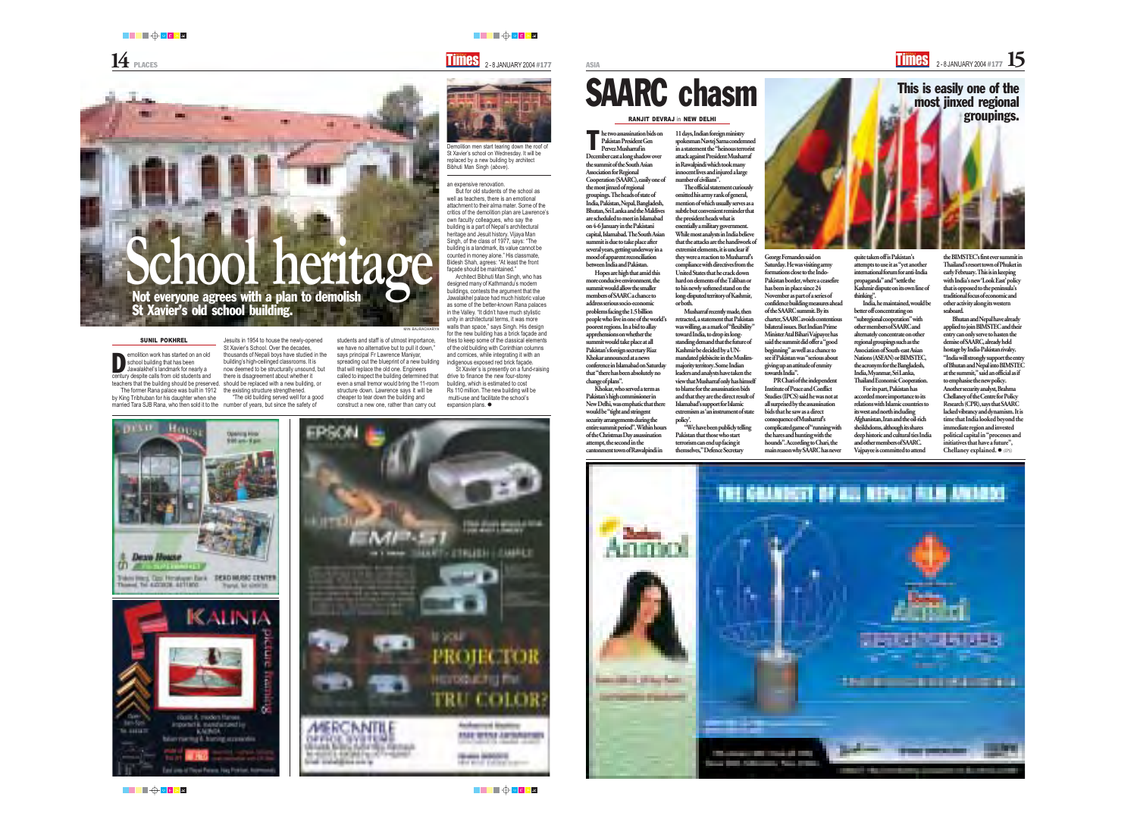emolition work has started on an old school building that has been Jawalakhel's landmark for nearly a century despite calls from old students and

The former Rana palace was built in 1912 by King Tribhuban for his daughter when she

teachers that the building should be preserved. should be replaced with a new building, or thousands of Nepali boys have studied in the building's high-ceilinged classrooms. It is now deemed to be structurally unsound, but "The old building served well for a good says principal Fr Lawrence Maniyar,

married Tara SJB Rana, who then sold it to the number of years, but since the safety of

there is disagreement about whether it

the existing structure strengthened.

spreading out the blueprint of a new building called to inspect the building determined that even a small tremor would bring the 11-room structure down. Lawrence says it will be





███<sup>▕▊</sup>▁▏▓

that will replace the old one. Engineers cheaper to tear down the building and construct a new one, rather than carry out

**School heritage** Jesuits in 1954 to house the newly-opened St Xavier's School. Over the decades, students and staff is of utmost importance, we have no alternative but to pull it down," MIN BAJRACHARY an expensive renovation.

But for old students of the school as well as teachers, there is an emotional attachment to their alma mater. Some of the critics of the demolition plan are Lawrence's own faculty colleagues, who say the building is a part of Nepal's architectural heritage and Jesuit history. Vijaya Man Singh, of the class of 1977, says: "The building is a landmark, its value cannot be counted in money alone." His classmate, Bidesh Shah, agrees: "At least the front

façade should be maintained."

Architect Bibhuti Man Singh, who has designed many of Kathmandu's modern buildings, contests the argument that the Jawalakhel palace had much historic value as some of the better-known Rana palaces in the Valley. "It didn't have much stylistic unity in architectural terms, it was more walls than space," says Singh. His design for the new building has a brick façade and tries to keep some of the classical elements of the old building with Corinthian columns and cornices, while integrating it with an indigenous exposed red brick façade.

St Xavier's is presently on a fund-raising

drive to finance the new four-storey building, which is estimated to cost Rs 110 million. The new building will be multi-use and facilitate the school's

expansion plans. ●

he two assassination bids on<br>Pakistan President Gen<br>Pervez Musharrafin Pakistan President Gen Pervez Musharraf in December cast a long shadow over the summit of the South Asian Association for Regional Cooperation (SAARC), easily one of the most jinxed of regional groupings. The heads of state of India, Pakistan, Nepal, Bangladesh, Bhutan, Sri Lanka and the Maldives are scheduled to meet in Islamabad on 4-6 January in the Pakistani capital, Islamabad. The South Asian summit is due to take place after several years, getting underway in a mood of apparent reconciliation between India and Pakistan. Hopes are high that amid this more conducive environment, the summit would allow the smaller members of SAARC a chance to address serious socio-economic problems facing the 1.5 billion 11 days, Indian foreign ministry spokesman Navtej Sarna condemned in a statement the "heinous terrorist attack against President Musharraf in Rawalpindi which took many innocent lives and injured a large number of civilians". The official statement curiously omitted his army rank of general, mention of which usually serves as a subtle but convenient reminder that the president heads what is essentially a military government. While most analysts in India believe that the attacks are the handiwork of extremist elements, it is unclear if they were a reaction to Musharraf's compliance with directives from the United States that he crack down hard on elements of the Taliban or to his newly softened stand on the long-disputed territory of Kashmir, or both. Musharraf recently made, then

SUNIL POKHREL

D

St Xavier's old school building.

Demolition men start tearing down the roof of St Xavier's school on Wednesday. It will be replaced by a new building by architect



Bibhuti Man Singh (*above*).

people who live in one of the world's conference in Islamabad on Saturday that "there has been absolutely no

poorest regions. In a bid to allay apprehensions on whether the summit would take place at all Pakistan's foreign secretary Riaz Khokar announced at a news change of plans".

Khokar, who served a term as New Delhi, was emphatic that there security arrangements during the entire summit period". Within hours of the Christmas Day assassination

Pakistan's high commissioner in would be "tight and stringent attempt, the second in the cantonment town of Rawalpindi in



# SAARC chasm

retracted, a statement that Pakistan was willing, as a mark of "flexibility" toward India, to drop its longstanding demand that the future of Kashmir be decided by a UNmandated plebiscite in the Muslimmajority territory. Some Indian leaders and analysts have taken the view that Musharraf only has himself to blame for the assassination bids and that they are the direct result of Islamabad's support for Islamic extremism as 'an instrument of state

policy'. "We have been publicly telling Pakistan that those who start terrorism can end up facing it themselves," Defence Secretary

George Fernandes said on Saturday. He was visiting army formations close to the Indo-Pakistan border, where a ceasefire has been in place since 24 November as part of a series of confidence building measures ahead of the SAARC summit. By its charter, SAARC avoids contentious bilateral issues. But Indian Prime Minister Atal Bihari Vajpayee has said the summit did offer a "good beginning" as well as a chance to see if Pakistan was "serious about giving up an attitude of enmity towards India".

PR Chari of the independent Institute of Peace and Conflict Studies (IPCS) said he was not at all surprised by the assassination bids that he saw as a direct consequence of Musharraf's complicated game of "running with the hares and hunting with the hounds". According to Chari, the main reason why SAARC has never quite taken off is Pakistan's attempts to use it as "yet another international forum for anti-India propaganda" and "settle the Kashmir dispute on its own line of thinking".

India, he maintained, would be better off concentrating on "subregional cooperation" with other members of SAARC and alternately concentrate on other regional groupings such as the Association of South-east Asian Nations (ASEAN) or BIMSTEC, the acronym for the Bangladesh, India, Myanmar, Sri Lanka, Thailand Economic Cooperation.

For its part, Pakistan has accorded more importance to its relations with Islamic countries to its west and north including Afghanistan, Iran and the oil-rich sheikhdoms, although its shares deep historic and cultural ties India and other members of SAARC. Vajpayee is committed to attend

the BIMSTEC's first ever summit in Thailand's resort town of Phuket in early February. This is in keeping with India's new 'Look East' policy that is opposed to the peninsula's traditional focus of economic and other activity along its western seaboard.

Bhutan and Nepal have already applied to join BIMSTEC and their entry can only serve to hasten the demise of SAARC, already held hostage by India-Pakistan rivalry. "India will strongly support the entry of Bhutan and Nepal into BIMSTEC at the summit," said an official as if to emphasise the new policy. Another security analyst, Brahma Chellaney of the Centre for Policy Research (CPR), says that SAARC lacked vibrancy and dynamism. It is time that India looked beyond the immediate region and invested political capital in "processes and initiatives that have a future", Chellaney explained. z *(IPS)*





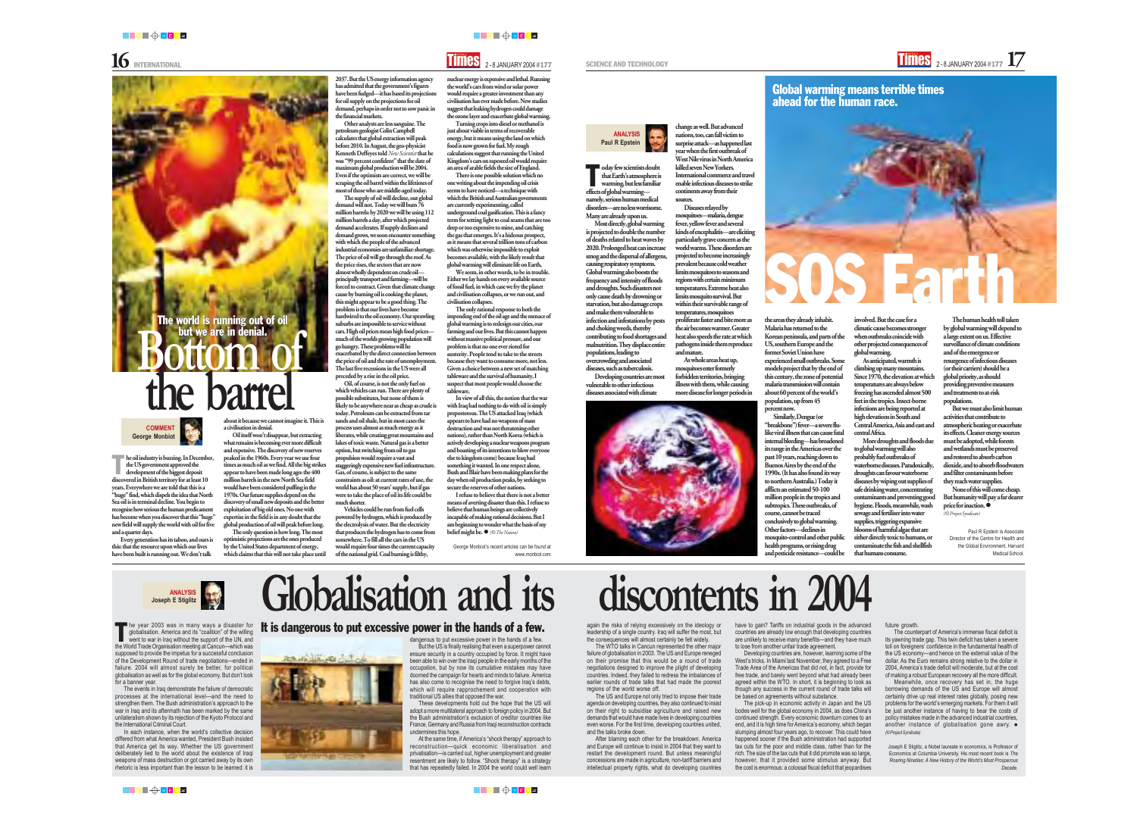oday few scientists doubt<br>that Earth's atmosphere is<br>warming, but less familian that Earth's atmosphere is warming, but less familiar effects of global warming namely, serious human medical disorders—are no less worrisome.

Many are already upon us.

Most directly, global warming is projected to double the number populations, leading to overcrowding and associated

of deaths related to heat waves by 2020. Prolonged heat can increase smog and the dispersal of allergens, causing respiratory symptoms. Global warming also boosts the frequency and intensity of floods and droughts. Such disasters not only cause death by drowning or starvation, but also damage crops and make them vulnerable to infection and infestations by pests and choking weeds, thereby contributing to food shortages and malnutrition. They displace entire

diseases, such as tuberculosis. Developing countries are most

vulnerable to other infectious diseases associated with climate



### **ANALYSIS Paul R Epstein**

change as well. But advanced nations, too, can fall victim to surprise attack—as happened last year when the first outbreak of West Nile virus in North America

killed seven New Yorkers.

International commerce and travel enable infectious diseases to strike continents away from their

sources.

Diseases relayed by mosquitoes—malaria, dengue fever, yellow fever and several kinds of encephalitis—are eliciting particularly grave concern as the world warms. These disorders are projected to become increasingly prevalent because cold weather limits mosquitoes to seasons and regions with certain minimum temperatures. Extreme heat also limits mosquito survival. But within their survivable range of temperatures, mosquitoes proliferate faster and bite more as the air becomes warmer. Greater heat also speeds the rate at which pathogens inside them reproduce

and mature.

As whole areas heat up, mosquitoes enter formerly forbidden territories, bringing illness with them, while causing more disease for longer periods in the areas they already inhabit. Malaria has returned to the Korean peninsula, and parts of the US, southern Europe and the former Soviet Union have experienced small outbreaks. Some models project that by the end of this century, the zone of potential malaria transmission will contain about 60 percent of the world's population, up from 45

> None of this will come cheap. But humanity will pay a far dearer price for inaction. *(© Project Syndicate)*

percent now. Similarly, Dengue (or "breakbone") fever—a severe flulike viral illness that can cause fatal internal bleeding—has broadened its range in the Americas over the past 10 years, reaching down to Buenos Aires by the end of the 1990s. (It has also found its way to northern Australia.) Today it afflicts an estimated 50-100 million people in the tropics and subtropics. These outbreaks, of course, cannot be traced conclusively to global warming. and pesticide resistance—could be

## Other factors—declines in mosquito-control and other public health programs, or rising drug

involved. But the case for a climatic cause becomes stronger when outbreaks coincide with other projected consequences of global warming.

Other analysts are less sanguine. The petroleum geologist Colin Campbell calculates that global extraction will peak before 2010. In August, the geo-physicist Kenneth Deffeyes told *New Scientist* that he was "99 percent confident" that the date of maximum global production will be 2004. Even if the optimists are correct, we will be scraping the oil barrel within the lifetimes of most of those who are middle-aged today. The supply of oil will decline, out global demand will not. Today we will burn 76 million barrels: by 2020 we will be using 112 million barrels a day, after which projected demand accelerates. If supply declines and demand grows, we soon encounter something with which the people of the advanced industrial economies are unfamiliar: shortage. The price of oil will go through the roof. As the price rises, the sectors that are now almost wholly dependent on crude oil principally transport and farming—will be forced to contract. Given that climate change cause by burning oil is cooking the planet, this might appear to be a good thing. The problem is that our lives have become hardwired to the oil economy. Our sprawling suburbs are impossible to service without cars. High oil prices mean high food prices much of the worlds growing population will

> As anticipated, warmth is climbing up many mountains. Since 1970, the elevation at which temperatures are always below freezing has ascended almost 500 feet in the tropics. Insect-borne infections are being reported at high elevations in South and Central America, Asia and east and central Africa.

More droughts and floods due to global warming will also probably fuel outbreaks of waterborne diseases. Paradoxically, droughts can favour waterborne diseases by wiping out supplies of safe drinking water, concentrating contaminants and preventing good hygiene. Floods, meanwhile, wash sewage and fertiliser into water supplies, triggering expansive blooms of harmful algae that are either directly toxic to humans, or contaminate the fish and shellfish that humans consume.

The human health toll taken by global warming will depend to a large extent on us. Effective surveillance of climate conditions and of the emergence or resurgence of infectious diseases (or their carriers) should be a global priority, as should providing preventive measures and treatments to at-risk populations.

But we must also limit human activities that contribute to atmospheric heating or exacerbate its effects. Cleaner energy sources must be adopted, while forests and wetlands must be preserved and restored to absorb carbon dioxide, and to absorb floodwaters and filter contaminants before they reach water supplies.

Paul R Epstein is Associate Director of the Centre for Health and the Global Environment, Harvard Medical School.

Every generation has its taboo, and ours is this: that the resource upon which our lives have been built is running out. We don't talk

**the barrel**

about it because we cannot imagine it. This is a civilisation in denial.

**Bottom Of** 

what remains is becoming ever more difficult and expensive. The discovery of new reserves peaked in the 1960s. Every year we use four times as much oil as we find. All the big strikes appear to have been made long ago: the 400

million barrels in the new North Sea field would have been considered puffing in the 1970s. Our future supplies depend on the discovery of small new deposits and the better exploitation of big old ones. No one with expertise in the field is in any doubt that the global production of oil will peak before long.

### Global warming means terrible times ahead for the human race.

SOS EA

optimistic projections are the ones produced by the United States department of energy,

**Joseph E Stiglitz Globalisation and its** discontents in 2004

The only question is how long. The most which claims that this will not take place until

2037. But the US energy information agency has admitted that the government's figures have been fudged—it has based its projections for oil supply on the projections for oil demand, perhaps in order not to sow panic in

the financial markets.

Oil itself won't disappear, but extracting process uses almost as much energy as it liberates, while creating great mountains and lakes of toxic waste. Natural gas is a better option, but switching from oil to gas propulsion would require a vast and staggeringly expensive new fuel infrastructure.

go hungry. These problems will he

exacerbated by the direct connection between the price of oil and the rate of unemployment. The last five recessions in the US were all preceded by a rise in the oil price.

Oil, of course, is not the only fuel on which vehicles can run. There are plenty of possible substitutes, but none of them is likely to be anywhere near as cheap as crude is today. Petroleum can be extracted from tar sands and oil shale, but in most cases the

Gas, of course, is subject to the same constraints as oil: at current rates of use, the world has about 50 years' supply, but if gas were to take the place of oil its life could be

much shorter.

The world is running out of oil but we are in denia

> Vehicles could be run from fuel cells powered by hydrogen, which is produced by the electrolysis of water. But the electricity that produces the hydrogen has to come from somewhere. To fill all the cars in the US would require four times the current capacity of the national grid. Coal burning is filthy,

nuclear energy is expensive and lethal. Running the world's cars from wind or solar power would require a greater investment than any civilisation has ever made before. New studies suggest that leaking hydrogen could damage the ozone layer and exacerbate global warming. Turning crops into diesel or methanol is just about viable in terms of recoverable energy, but it means using the land on which food is now grown for fuel. My rough calculations suggest that running the United Kingdom's cars on rapeseed oil would require an area of arable fields the size of England. There is one possible solution which no one writing about the impending oil crisis seems to have noticed—a technique with which the British and Australian governments

are currently experimenting, called

underground coal gasification. This is a fancy term for setting light to coal seams that are too deep or too expensive to mine, and catching the gas that emerges. It's a hideous prospect, as it means that several trillion tons of carbon which was otherwise impossible to exploit becomes available, with the likely result that global warming will eliminate life on Earth, We seem, in other words, to be in trouble. Either we lay hands on every available source of fossil fuel, in which case we fry the planet and civilisation collapses, or we run out, and

civilisation collapses.

The only rational response to both the impending end of the oil age and the menace of global warming is to redesign our cities, our farming and our lives. But this cannot happen without massive political pressure, and our problem is that no one ever rioted for austerity. People tend to take to the streets because they want to consume more, not less. Given a choice between a new set of matching tableware and the survival of humanity, I suspect that most people would choose the

he oil industry is buzzing. In December, the US government approved the development of the biggest deposit discovered in British territory for at least 10 years. Everywhere we are told that this is a "huge" find, which dispels the idea that North Sea oil is in terminal decline. You begin to recognise how serious the human predicament has become when you discover that this "huge" new field will supply the world with oil for five and a quarter days. T

tableware.

In view of all this, the notion that the war with Iraq had nothing to do with oil is simply preposterous. The US attacked Iraq (which appears to have had no weapons of mass destruction and was not threatening other nations), rather than North Korea (which is actively developing a nuclear weapons program and boasting of its intentions to blow everyone else to kingdom come) because Iraq had something it wanted. In one respect alone, Bush and Blair have been making plans for the day when oil production peaks, by seeking to

secure the reserves of other nations.

I refuse to believe that there is not a better means of averting disaster than this. I refuse to believe that human beings are collectively incapable of making rational decisions. But I am beginning to wonder what the basis of my

belief might be. z *(© The Nation)*

George Monbiot's recent articles can be found at

www.monbiot.com

The events in Iraq demonstrate the failure of democratic processes at the international level—and the need to strengthen them. The Bush administration's approach to the war in Iraq and its aftermath has been marked by the same unilateralism shown by its rejection of the Kyoto Protocol and the International Criminal Court.

In each instance, when the world's collective decision differed from what America wanted, President Bush insisted that America get its way. Whether the US government deliberately lied to the world about the existence of Iraqi weapons of mass destruction or got carried away by its own rhetoric is less important than the lesson to be learned: it is





**ANALYSIS**

dangerous to put excessive power in the hands of a few. But the US is finally realising that even a superpower cannot ensure security in a country occupied by force. It might have been able to win over the Iraqi people in the early months of the occupation, but by now its cumulative mistakes may have doomed the campaign for hearts and minds to failure. America has also come to recognise the need to forgive Iraq's debts, which will require rapprochement and cooperation with traditional US allies that opposed the war.

These developments hold out the hope that the US will adopt a more multilateral approach to foreign policy in 2004. But the Bush administration's exclusion of creditor countries like France, Germany and Russia from Iraqi reconstruction contracts undermines this hope.

At the same time, if America's "shock therapy" approach to reconstruction—quick economic liberalisation and privatisation—is carried out, higher unemployment and greater resentment are likely to follow. "Shock therapy" is a strategy that has repeatedly failed. In 2004 the world could well learn

again the risks of relying excessively on the ideology or leadership of a single country. Iraq will suffer the most, but the consequences will almost certainly be felt widely.

The WTO talks in Cancun represented the other major failure of globalisation in 2003. The US and Europe reneged on their promise that this would be a round of trade negotiations designed to improve the plight of developing countries. Indeed, they failed to redress the imbalances of earlier rounds of trade talks that had made the poorest regions of the world worse off.

he year 2003 was in many ways a disaster for globalisation. America and its "coalition" of the willing went to war in Iraq without the support of the UN, and the World Trade Organisation meeting at Cancun—which was supposed to provide the impetus for a successful conclusion of the Development Round of trade negotiations—ended in failure. 2004 will almost surely be better, for political globalisation as well as for the global economy. But don't look for a banner year. T

> The US and Europe not only tried to impose their trade agenda on developing countries, they also continued to insist on their right to subsidise agriculture and raised new demands that would have made lives in developing countries even worse. For the first time, developing countries united,

and the talks broke down.





After blaming each other for the breakdown, America and Europe will continue to insist in 2004 that they want to restart the development round. But unless meaningful concessions are made in agriculture, non-tariff barriers and intellectual property rights, what do developing countries have to gain? Tariffs on industrial goods in the advanced countries are already low enough that developing countries are unlikely to receive many benefits—and they have much to lose from another unfair trade agreement.

Developing countries are, however, learning some of the West's tricks. In Miami last November, they agreed to a Free Trade Area of the Americas that did not, in fact, provide for free trade, and barely went beyond what had already been agreed within the WTO. In short, it is beginning to look as though any success in the current round of trade talks will be based on agreements without substance.

The pick-up in economic activity in Japan and the US bodes well for the global economy in 2004, as does China's continued strength. Every economic downturn comes to an end, and it is high time for America's economy, which began slumping almost four years ago, to recover. This could have happened sooner if the Bush administration had supported tax cuts for the poor and middle class, rather than for the rich. The size of the tax cuts that it did promote was so large, however, that it provided some stimulus anyway. But the cost is enormous: a colossal fiscal deficit that jeopardises

### future growth.

The counterpart of America's immense fiscal deficit is its yawning trade gap. This twin deficit has taken a severe toll on foreigners' confidence in the fundamental health of the US economy—and hence on the external value of the dollar. As the Euro remains strong relative to the dollar in 2004, America's trade deficit will moderate, but at the cost of making a robust European recovery all the more difficult.

Meanwhile, once recovery has set in, the huge borrowing demands of the US and Europe will almost certainly drive up real interest rates globally, posing new problems for the world's emerging markets. For them it will be just another instance of having to bear the costs of policy mistakes made in the advanced industrial countries, another instance of globalisation gone awry.  $\bullet$ *(© Project Syndicate)*

Joseph E Stiglitz, a Nobel laureate in economics, is Professor of Economics at Columbia University. His most recent book is *The Roaring Nineties: A New History of the World's Most Prosperous Decade*.

### It is dangerous to put excessive power in the hands of a few.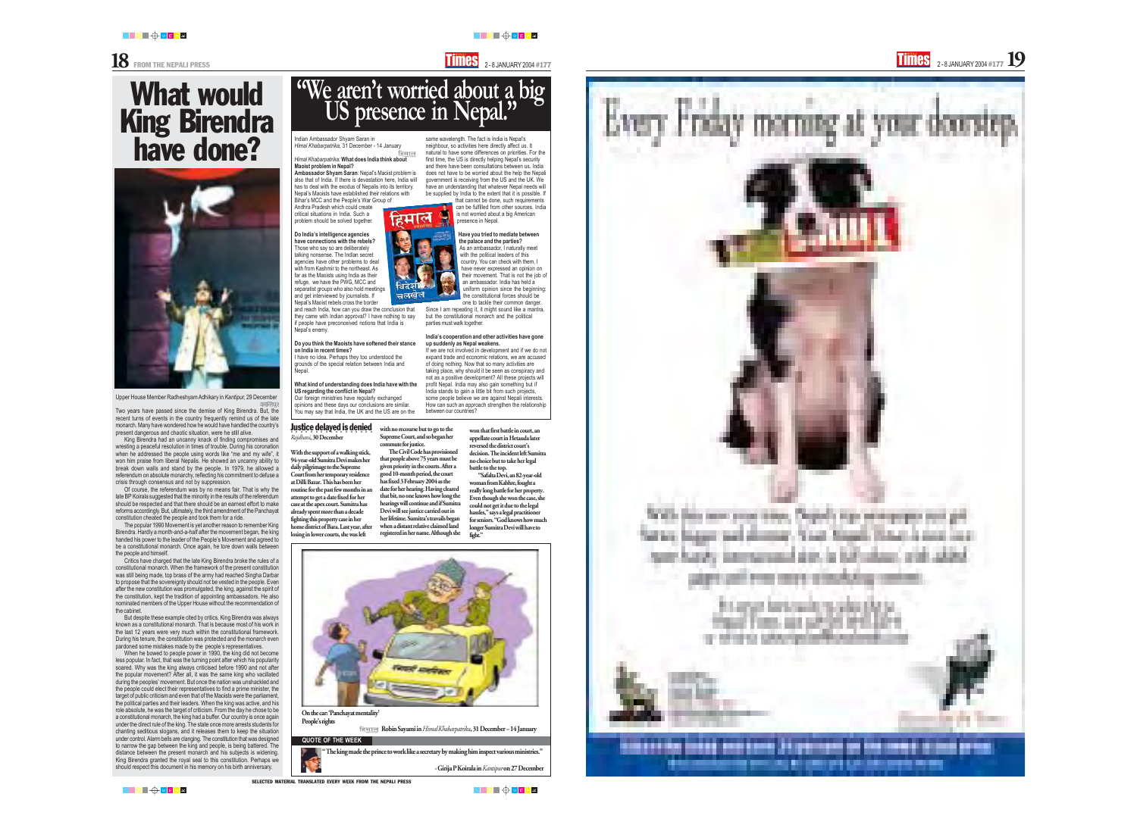



Upper House Member Radheshyam Adhikary in *Kantipur,* 29 December

Two years have passed since the demise of King Birendra. But, the recent turns of events in the country frequently remind us of the late monarch. Many have wondered how he would have handled the country's present dangerous and chaotic situation, were he still alive.

King Birendra had an uncanny knack of finding compromises and wresting a peaceful resolution in times of trouble. During his coronation when he addressed the people using words like "me and my wife", it won him praise from liberal Nepalis. He showed an uncanny ability to break down walls and stand by the people. In 1979, he allowed a referendum on absolute monarchy, reflecting his commitment to defuse a crisis through consensus and not by suppression.

Of course, the referendum was by no means fair. That is why the late BP Koirala suggested that the minority in the results of the referendum should be respected and that there should be an earnest effort to make reforms accordingly. But, ultimately, the third amendment of the Panchayat constitution cheated the people and took them for a ride.

The popular 1990 Movement is yet another reason to remember King Birendra. Hardly a month-and-a-half after the movement began, the king handed his power to the leader of the People's Movement and agreed to be a constitutional monarch. Once again, he tore down walls between the people and himself.

Critics have charged that the late King Birendra broke the rules of a constitutional monarch. When the framework of the present constitution was still being made, top brass of the army had reached Singha Darbar to propose that the sovereignty should not be vested in the people. Even after the new constitution was promulgated, the king, against the spirit of the constitution, kept the tradition of appointing ambassadors. He also nominated members of the Upper House without the recommendation of the cabinet.

# What would King Birendra<br>have done?

### **Justice delayed is denied** *Rajdhani*, 30 December

But despite these example cited by critics, King Birendra was always known as a constitutional monarch. That is because most of his work in the last 12 years were very much within the constitutional framework. During his tenure, the constitution was protected and the monarch even pardoned some mistakes made by the people's representatives.

battle to the top. "Safalta Devi, an 82-year-old woman from Kabhre, fought a really long battle for her property. Even though she won the case, she could not get it due to the legal hassles," says a legal practitioner for seniors. "God knows how much longer Sumitra Devi will have to fight."



हिमाल *Himal Khabarpatrika:* **What does India think about Maoist problem in Nepal? Ambassador Shyam Saran**: Nepal's Maoist problem is also that of India. If there is devastation here, India will has to deal with the exodus of Nepalis into its territory. Nepal's Maoists have established their relations with Bihar's MCC and the People's War Group of

When he bowed to people power in 1990, the king did not become less popular. In fact, that was the turning point after which his popularity soared. Why was the king always criticised before 1990 and not after the popular movement? After all, it was the same king who vacillated during the peoples' movement. But once the nation was unshackled and the people could elect their representatives to find a prime minister, the target of public criticism and even that of the Maoists were the parliament, the political parties and their leaders. When the king was active, and his role absolute, he was the target of criticism. From the day he chose to be a constitutional monarch, the king had a buffer. Our country is once again under the direct rule of the king. The state once more arrests students for chanting seditious slogans, and it releases them to keep the situation under control. Alarm bells are clanging. The constitution that was designed to narrow the gap between the king and people, is being battered. The distance between the present monarch and his subjects is widening. King Birendra granted the royal seal to this constitution. Perhaps we should respect this document in his memory on his birth anniversary.

███<del>▕</del>▗▗▗▗▗▗▗▗▗▗▗▗▗▗▗▗▗▗▗▗▗▗▗▗▗▗

SELECTED MATERIAL TRANSLATED EVERY WEEK FROM THE NEPALI PRESS





███<del>▕▊▕</del>▖▗▏▖



With the support of a walking stick, 94-year-old Sumitra Devi makes her daily pilgrimage to the Supreme Court from her temporary residence at Dilli Bazar. This has been her routine for the past few months in an attempt to get a date fixed for her case at the apex court. Sumitra has already spent more than a decade fighting this property case in her home district of Bara. Last year, after losing in lower courts, she was left



The Civil Code has provisioned that people above 75 years must be given priority in the courts. After a good 10-month period, the court has fixed 3 February 2004 as the date for her hearing. Having cleared that bit, no one knows how long the hearings will continue and if Sumitra Devi will see justice carried out in her lifetime. Sumitra's travails began when a distant relative claimed land registered in her name. Although she

### **QUOTE OF THE WEEK**

won that first battle in court, an appellate court in Hetauda later reversed the district court's decision. The incident left Sumitra no choice but to take her legal

Indian Ambassador Shyam Saran in *Himal Khabarpatrika*, 31 December - 14 January

Andhra Pradesh which could create critical situations in India. Such a problem should be solved together.

### **Do India's intelligence agencies have connections with the rebels?**

Those who say so are deliberately talking nonsense. The Indian secret agencies have other problems to deal with from Kashmir to the northeast. As far as the Maoists using India as their refuge, we have the PWG, MCC and separatist groups who also hold meetings and get interviewed by journalists. If Nepal's Maoist rebels cross the border

and reach India, how can you draw the conclusion that they came with Indian approval? I have nothing to say if people have preconceived notions that India is Nepal's enemy.

**Do you think the Maoists have softened their stance on India in recent times?**

I have no idea. Perhaps they too understood the grounds of the special relation between India and Nepal.

**What kind of understanding does India have with the US regarding the conflict in Nepal?**

Our foreign ministries have regularly exchanged opinions and these days our conclusions are similar. You may say that India, the UK and the US are on the



same wavelength. The fact is India is Nepal's neighbour, so activities here directly affect us. It natural to have some differences on priorities. For the first time, the US is directly helping Nepal's security and there have been consultations between us. India does not have to be worried about the help the Nepali government is receiving from the US and the UK. We have an understanding that whatever Nepal needs will be supplied by India to the extent that it is possible. If

that cannot be done, such requirements can be fulfilled from other sources. India is not worried about a big American presence in Nepal.

### **Have you tried to mediate between the palace and the parties?**

As an ambassador, I naturally meet with the political leaders of this country. You can check with them, I have never expressed an opinion on their movement. That is not the job of an ambassador. India has held a uniform opinion since the beginning: the constitutional forces should be one to tackle their common danger.

Since I am repeating it, it might sound like a mantra, but the constitutional monarch and the political parties must walk together.

### **India's cooperation and other activities have gone up suddenly as Nepal weakens.**

If we are not involved in development and if we do not expand trade and economic relations, we are accused of doing nothing. Now that so many activities are taking place, why should it be seen as conspiracy and not as a positive development? All these projects will profit Nepal. India may also gain something but if India stands to gain a little bit from such projects, some people believe we are against Nepali interests. How can such an approach strengthen the relationship between our countries?

" The king made the prince to work like a secretary by making him inspect various ministries."

- Girija P Koirala in *Kantipur* on 27 December

### On the car: 'Panchayat mentality' People's rights

Robin Sayami in *Himal Khabarpatrika*, 31 December – 14 January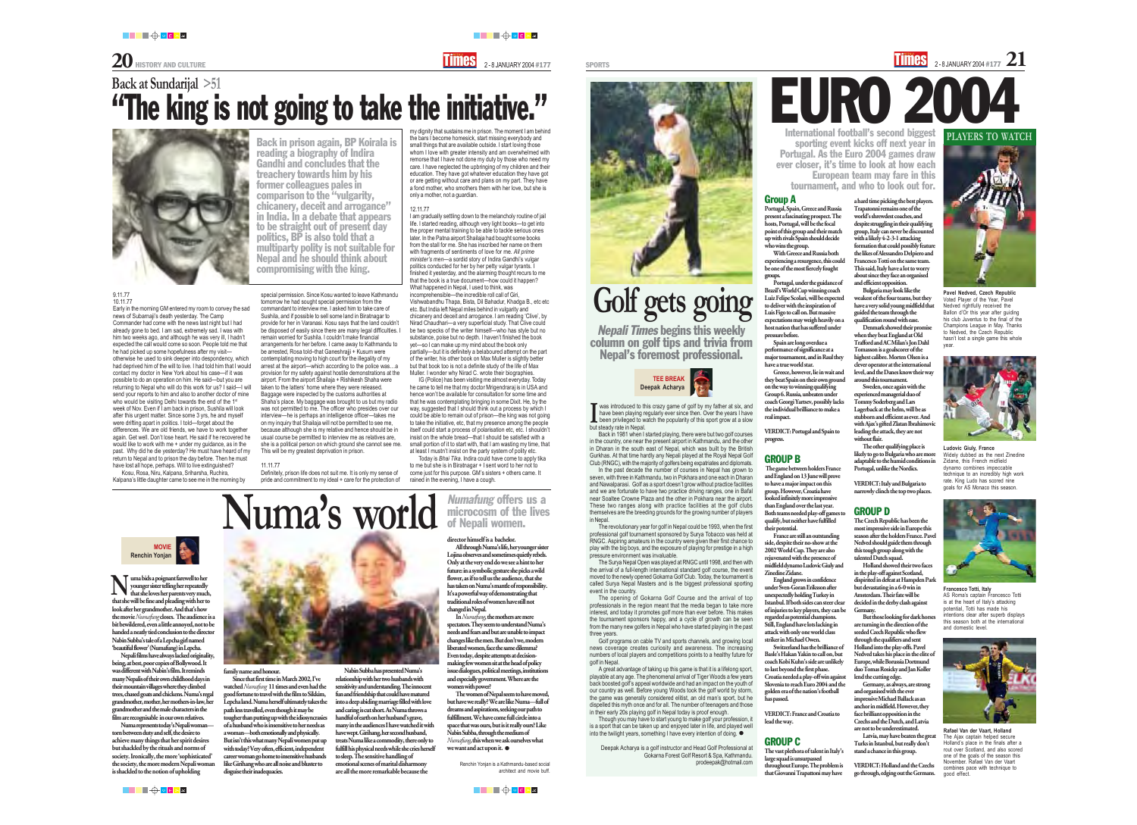**20** HISTORY AND CULTURE **2-8 JANUARY 2004 #177** SPORTS 2-8 JANUARY 2004 #177 SPORTS 2-8 JANUARY 2004 #177 21

███<del>▕▊▕</del>▗▗▗▗▗

a hard time picking the best players. Trapatonni remains one of the world's shrewdest coaches, and despite struggling in their qualifying group, Italy can never be discounted with a likely 4-2-3-1 attacking formation that could possibly feature the likes of Alessandro Delpiero and Francesco Totti on the same team. This said, Italy have a lot to worry about since they face an organised and efficient opposition.

Bulgaria may look like the weakest of the four teams, but they have a very solid young midfield that guided the team through the qualification round with ease.

Holland showed their two faces in the play-off against Scotland, dispirited in defeat at Hampden Park but devastating in a 6-0 win in Amsterdam. Their fate will be decided in the derby clash against **Germany** 

Denmark showed their promise when they beat England at Old Trafford and AC Milan's Jon Dahl Tomasson is a goalscorer of the highest calibre. Morten Olsen is a clever operator at the international level, and the Danes know their way around this tournament.

Sweden, once again with the experienced managerial duo of Tommy Soderberg and Lars Lagerback at the helm, will be as stubborn and efficient as ever. And with Ajax's gifted Zlatan Ibrahimovic leading the attack, they are not without flair.

The other qualifying place is likely to go to Bulgaria who are more adaptable to the humid conditions in Portugal, unlike the Nordics.

VERDICT: Italy and Bulgaria to narrowly clinch the top two places.

### GROUP D

The Czech Republic has been the most impressive side in Europe this season after the holders France. Pavel Nedved should guide them through this tough group along with the talented Dutch squad.

But those looking for dark horses are turning in the direction of the seeded Czech Republic who flew through the qualifiers and sent Holland into the play-offs. Pavel Nedved takes his place in the elite of Europe, while Borussia Dortmund duo Tomas Rosicky and Jan Koller lend the cutting edge.

Germany, as always, are strong and organised with the ever impressive Michael Ballack as an anchor in midfield. However, they face brilliant opposition in the Czechs and the Dutch, and Latvia are not to be underestimated.

Latvia, may have beaten the great Turks in Istanbul, but really don't stand a chance in this group.

# EURO 2004 International football's second biggest

VERDICT: Holland and the Czechs go through, edging out the Germans.

### Group A

Portugal, Spain, Greece and Russia present a fascinating prospect. The hosts, Portugal, will be the focal point of this group and their match up with rivals Spain should decide who wins the group.

With Greece and Russia both experiencing a resurgence, this could be one of the most fiercely fought groups.

Portugal, under the guidance of Brazil's World Cup winning coach Luiz Felipe Scolari, will be expected to deliver with the inspiration of Luis Figo to call on. But massive expectations may weigh heavily on a host nation that has suffered under pressure before.

Spain are long overdue a performance of significance at a major tournament, and in Raul they have a true world star.

Greece, however, lie in wait and they beat Spain on their own ground on the way to winning qualifying Group 6. Russia, unbeaten under coach Georgi Yartsev, possibly lacks the individual brilliance to make a real impact.

VERDICT: Portugal and Spain to progress.

### GROUP B

 The game between holders France and England on 13 June will prove to have a major impact on this group. However, Croatia have looked infinitely more impressive than England over the last year. Both teams needed play-off games to qualify, but neither have fulfilled

their potential. France are still an outstanding side, despite their no-show at the 2002 World Cup. They are also uvenated with the presence of midfield dynamo Ludovic Giuly and Zinedine Zidane.

Though you may have to start young to make golf your profession, it is a sport that can be taken up and enjoyed later in life, and played well into the twilight years, something I have every intention of doing.  $\bullet$ 

England grows in confidence under Sven-Goran Eriksson after unexpectedly holding Turkey in Istanbul. If both sides can steer clear of injuries to key players, they can be regarded as potential champions. Still, England have lots lacking in attack with only one world class

striker in Michael Owen. Switzerland has the brilliance of Basle's Hakan Yakin to call on, but coach Kobi Kuhn's side are unlikely to last beyond the first phase. Croatia needed a play-off win against Slovenia to reach Euro 2004 and the golden era of the nation's football has passed.

VERDICT: France and Croatia to lead the way.

### GROUP C

**N** uma bids a poignant farewell to her younger sister telling her repeatedly<br>that she loves her parents very mucle younger sister telling her repeatedly that she loves her parents very much,

> The vast plethora of talent in Italy's large squad is unsurpassed throughout Europe. The problem is that Giovanni Trapattoni may have

sporting event kicks off next year in Portugal. As the Euro 2004 games draw ever closer, it's time to look at how each European team may fare in this tournament, and who to look out for.

was introduced to this crazy game of golf by my father at six, and have been playing regularly ever since then. Over the years I have been privileged to watch the popularity of this sport grow at a slow

Back in 1981 when I started playing, there were but two golf courses in the country, one near the present airport in Kathmandu, and the other in Dharan in the south east of Nepal, which was built by the British Gurkhas. At that time hardly any Nepali played at the Royal Nepal Golf Club (RNGC), with the majority of golfers being expatriates and diplomats. In the past decade the number of courses in Nepal has grown to seven, with three in Kathmandu, two in Pokhara and one each in Dharan and Nawalparasi. Golf as a sport doesn't grow without practice facilities and we are fortunate to have two practice driving ranges, one in Bafal near Soaltee Crowne Plaza and the other in Pokhara near the airport. These two ranges along with practice facilities at the golf clubs themselves are the breeding grounds for the growing number of players

The women of Nepal seem to have moved, but have we really? We are like Numa—full of dreams and aspirations, seeking our path to fulfillment. We have come full circle into a space that was ours, but is it really ours? Like Nabin Subba, through the medium of *Numafung*, this when we ask ourselves what we want and act upon it.  $\bullet$ 

in Nepal.

The revolutionary year for golf in Nepal could be 1993, when the first professional golf tournament sponsored by Surya Tobacco was held at RNGC. Aspiring amateurs in the country were given their first chance to play with the big boys, and the exposure of playing for prestige in a high pressure environment was invaluable.

The Surya Nepal Open was played at RNGC until 1998, and then with the arrival of a full-length international standard golf course, the event moved to the newly opened Gokarna Golf Club. Today, the tournament is called Surya Nepal Masters and is the biggest professional sporting

event in the country. three years.

The opening of Gokarna Golf Course and the arrival of top professionals in the region meant that the media began to take more interest, and today it promotes golf more than ever before. This makes the tournament sponsors happy, and a cycle of growth can be seen from the many new golfers in Nepal who have started playing in the past

Golf programs on cable TV and sports channels, and growing local news coverage creates curiosity and awareness. The increasing numbers of local players and competitions points to a healthy future for

golf in Nepal.

A great advantage of taking up this game is that it is a lifelong sport, playable at any age. The phenomenal arrival of Tiger Woods a few years back boosted golf's appeal worldwide and had an impact on the youth of our country as well. Before young Woods took the golf world by storm, the game was generally considered elitist, an old man's sport, but he dispelled this myth once and for all. The number of teenagers and those in their early 20s playing golf in Nepal today is proof enough.

Deepak Acharya is a golf instructor and Head Golf Professional at Gokarna Forest Golf Resort & Spa, Kathmandu. prodeepak@hotmail.com

Nepali Times begins this weekly column on golf tips and trivia from Nepal's foremost professional.

# **Golf gets going**



**Ludovic Giuly, France** Widely dubbed as the next Zinedine Zidane, this French midfield dynamo combines impeccable technique to an incredibly high work rate. King Ludo has scored nine goals for AS Monaco this season.



**Francesco Totti, Italy** AS Roma's captain Francesco Totti is at the heart of Italy's attacking potential, Totti has made his intentions clear after superb displays this season both at the international and domestic level.



**Rafael Van der Vaart, Holland** The Ajax captain helped secure Holland's place in the finals after a rout over Scotland, and also scored one of the goals of the season this November. Rafael Van der Vaart combines pace with technique to good effect.



**Pavel Nedved, Czech Republic** Voted Player of the Year, Pavel Nedved rightfully received the Ballon d'Or this year after guiding his club Juventus to the final of the Champions League in May. Thanks to Nedved, the Czech Republic hasn't lost a single game this whole year.



that she will be fine and pleading with her to look after her grandmother. And that's how the movie *Numafung* closes. The audience is a bit bewildered, even a little annoyed, not to be handed a neatly tied conclusion to the director Nabin Subba's tale of a Lepcha girl named 'beautiful flower' (Numafung) in Lepcha.

Nepali films have always lacked originality, being, at best, poor copies of Bollywood. It was different with Nabin's film. It reminds many Nepalis of their own childhood days in their mountain villages where they climbed trees, chased goats and chickens. Numa's regal grandmother, mother, her mothers-in-law, her grandmother and the male characters in the film are recognisable in our own relatives. Numa represents today's Nepali woman torn between duty and self, the desire to achieve many things that her spirit desires but shackled by the rituals and norms of society. Ironically, the more 'sophisticated' the society, the more modern Nepali woman is shackled to the notion of upholding

### Nabin Subba has presented Numa's

relationship with her two husbands with sensitivity and understanding. The innocent fun and friendship that could have matured into a deep abiding marriage filled with love and caring is cut short. As Numa throws a handful of earth on her husband's grave, many in the audiences I have watched it with have wept. Girihang, her second husband, treats Numa like a commodity, there only to fulfill his physical needs while she cries herself to sleep. The sensitive handling of emotional scenes of marital disharmony are all the more remarkable because the



### director himself is a bachelor.

All through Numa's life, her younger sister Lojina observes and sometimes quietly rebels. Only at the very end do we see a hint to her future: in a symbolic gesture she picks a wild flower, as if to tell us the audience, that she has taken on Numa's mantle of responsibility. It's a powerful way of demonstrating that traditional roles of women have still not changed in Nepal.

In *Numafung*, the mothers are mere spectators. They seem to understand Numa's needs and fears and but are unable to impact changes like the men. But don't we, modern liberated women, face the same dilemma? Even today, despite attempts at decisionmaking few women sit at the head of policy issue dialogues, political meetings, institutions and especially government. Where are the women with power?

but steady rate in Nepal. **I**

Renchin Yonjan is a Kathmandu-based social architect and movie buff.







### 9.11.77 10.11.77

Early in the morning GM entered my room to convey the sad news of Subarnaji's death yesterday. The Camp Commander had come with the news last night but I had already gone to bed. I am sad, extremely sad. I was with him two weeks ago, and although he was very ill, I hadn't expected the call would come so soon. People told me that he had picked up some hopefulness after my visit otherwise he used to sink deeper into despondency, which had deprived him of the will to live. I had told him that I would contact my doctor in New York about his case—if it was possible to do an operation on him. He said—but you are returning to Nepal who will do this work for us? I said—I will send your reports to him and also to another doctor of mine who would be visiting Delhi towards the end of the 1<sup>st</sup> week of Nov. Even if I am back in prison, Sushila will look after this urgent matter. Since some 3 yrs, he and myself were drifting apart in politics. I told—forget about the differences. We are old friends, we have to work together again. Get well. Don't lose heart. He said if he recovered he would like to work with me + under my guidance, as in the past. Why did he die yesterday? He must have heard of my return to Nepal and to prison the day before. Then he must have lost all hope, perhaps. Will to live extinguished?

Kosu, Rosa, Niru, Kalpana, Sriharsha, Ruchira, Kalpana's little daughter came to see me in the morning by

special permission. Since Kosu wanted to leave Kathmandu tomorrow he had sought special permission from the commandant to interview me. I asked him to take care of Sushila, and if possible to sell some land in Biratnagar to provide for her in Varanasi. Kosu says that the land couldn't be disposed of easily since there are many legal difficulties. remain worried for Sushila. I couldn't make financial arrangements for her before. I came away to Kathmandu to be arrested, Rosa told–that Ganeshrajji + Kusum were contemplating moving to high court for the illegality of my arrest at the airport—which according to the police was…a provision for my safety against hostile demonstrations at the airport. From the airport Shailaja + Rishikesh Shaha were taken to the latters' home where they were released. Baggage were inspected by the customs authorities at Shaha's place. My baggage was brought to us but my radio was not permitted to me. The officer who presides over our interview—he is perhaps an intelligence officer—takes me on my inquiry that Shailaja will not be permitted to see me, because although she is my relative and hence should be in usual course be permitted to interview me as relatives are, she is a political person on which ground she cannot see me. This will be my greatest deprivation in prison.

### 11.11.77

Definitely, prison life does not suit me. It is only my sense of pride and commitment to my ideal + care for the protection of

my dignity that sustains me in prison. The moment I am behind the bars I become homesick, start missing everybody and small things that are available outside. I start loving those whom I love with greater intensity and am overwhelmed with remorse that I have not done my duty by those who need my care. I have neglected the upbringing of my children and their education. They have got whatever education they have got or are getting without care and plans on my part. They have a fond mother, who smothers them with her love, but she is only a mother, not a guardian.

### 12.11.77

I am gradually settling down to the melancholy routine of jail life. I started reading, although very light books—to get into the proper mental training to be able to tackle serious ones later. In the Patna airport Shailaja had bought some books from the stall for me. She has inscribed her name on them with fragments of sentiments of love for me. *All prime minister's men*—a sordid story of Indira Gandhi's vulgar politics conducted for her by her petty vulgar tyrants. I finished it yesterday, and the alarming thought recurs to me that the book is a true document—how could it happen? What happened in Nepal, I used to think, was incomprehensible—the incredible roll call of Giri, Vishwabandhu Thapa, Bista, Dil Bahadur, Khadga B., etc etc etc. But India left Nepal miles behind in vulgarity and chicanery and deceit and arrogance. I am reading 'Clive', by Nirad Chaudhari—a very superficial study. That Clive could be two specks of the writer himself—who has style but no substance, poise but no depth. I haven't finished the book yet—so I can make up my mind about the book only partially—but it is definitely a belaboured attempt on the part of the writer, his other book on Max Muller is slightly better but that book too is not a definite study of the life of Max Muller. I wonder why Nirad C. wrote their biographies.

IG (Police) has been visiting me almost everyday. Today he came to tell me that my doctor Mrigendraraj is in USA and hence won't be available for consultation for some time and that he was contemplating bringing in some Dixit. He, by the way, suggested that I should think out a process by which I could be able to remain out of prison—the king was not going to take the initiative, etc, that my presence among the people itself could start a process of polarisation etc, etc. I shouldn't insist on the whole bread—that I should be satisfied with a small portion of it to start with, that I am wasting my time, that at least I mustn't insist on the party system of polity etc.

Today is *Bhai Tika*. Indira could have come to apply tika to me but she is in Biratnagar + I sent word to her not to come just for this purpose. GM's sisters + others came. It rained in the evening, I have a cough.

**Numafung offers us a** microcosm of the lives Numa's world Mumafung offers

## **Back at Sundarijal >51** "The king is not going to take the initiative."



Back in prison again, BP Koirala is reading a biography of Indira Gandhi and concludes that the treachery towards him by his former colleagues pales in comparison to the "vulgarity, chicanery, deceit and arrogance" in India. In a debate that appears to be straight out of present day politics, BP is also told that a multiparty polity is not suitable for Nepal and he should think about compromising with the king.

**MOVIE**

**TEL.** 

**Renchin Yonjan**

family name and honour.

Since that first time in March 2002, I've watched *Numafung* 11 times and even had the good fortune to travel with the film to Sikkim, Lepcha land. Numa herself ultimately takes the path less travelled, even though it may be tougher than putting up with the idiosyncrasies of a husband who is insensitive to her needs as a woman—both emotionally and physically. But isn't this what many Nepali women put up with today? Very often, efficient, independent career woman go home to insensitive husbands like Girihang who are all noise and bluster to disguise their inadequacies.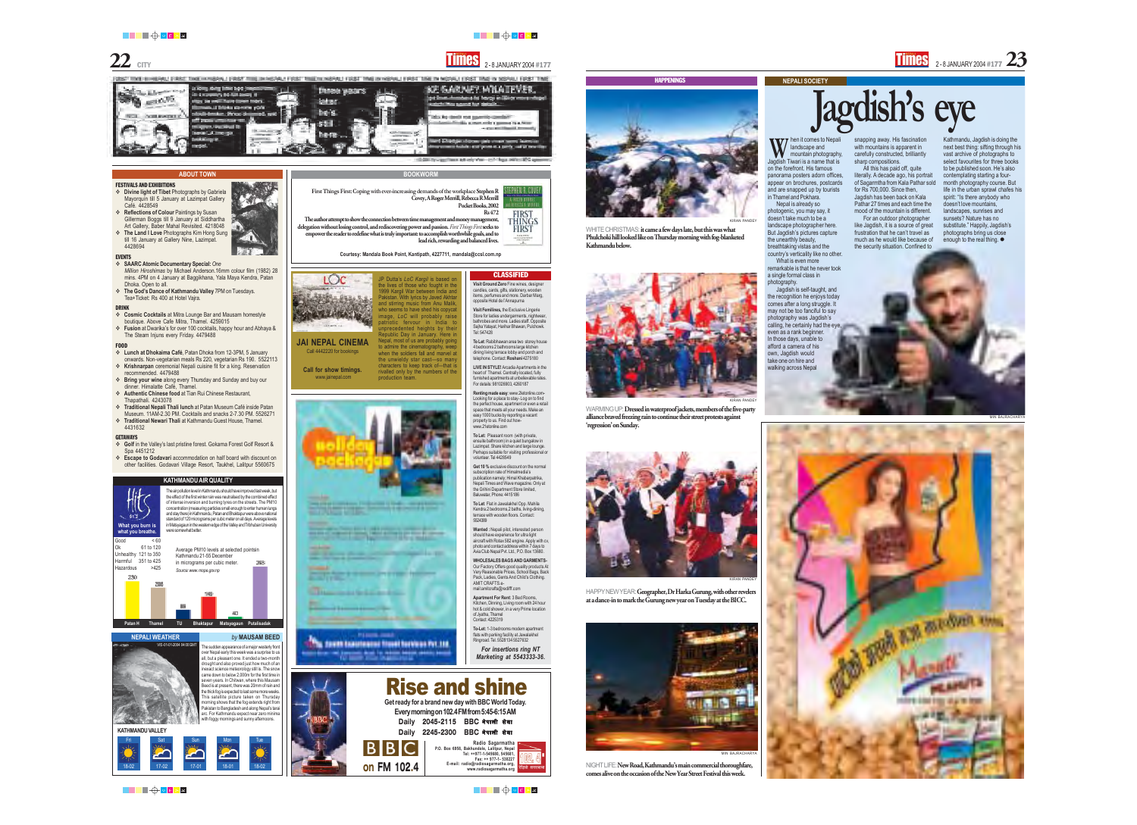

### **ABOUT TOWN**

- FESTIVALS AND EXHIBITIONS **Divine light of Tibet** Photographs by Gabriela Mayorquín till 5 January at Lazimpat Gallery Café. 4428549
- **<sup>❖</sup> Reflections of Colour Paintings by Susan** Gillerman Boggs till 9 January at Siddhartha
- Art Gallery, Baber Mahal Revisited. 4218048  $\div$  **The Land I Love** Photographs Kim Hong Sung till 16 January at Gallery Nine, Lazimpat. 4428694

### EVENTS

- **SAARC Atomic Documentary Special:** *One Million Hiroshimas* by Michael Anderson.16mm colour film (1982) 28 mins. 4PM on 4 January at Baggikhana, Yala Maya Kendra, Patan
- Dhoka. Open to all.  $\div$  The God's Dance of Kathmandu Valley 7PM on Tuesdays. Tea+Ticket: Rs 400 at Hotel Vajra.

### DRINK

- **Cosmic Cocktails** at Mitra Lounge Bar and Mausam homestyle boutique. Above Cafe Mitra, Thamel. 4259015
- **Fusion** at Dwarika's for over 100 cocktails, happy hour and Abhaya & The Steam Injuns every Friday. 4479488

### FOOD

- **Lunch at Dhokaima Café**, Patan Dhoka from 12-3PM, 5 January
- onwards. Non-vegetarian meals Rs 220, vegetarian Rs 190. 5522113 **Externation Krishnarpan** ceremonial Nepali cuisine fit for a king. Reservation
- recommended. 4479488  $\div$  **Bring your wine** along every Thursday and Sunday and buy our
- dinner. Himalatte Café, Thamel. **Authentic Chinese food** at Tian Rui Chinese Restaurant,
- Thapathali. 4243078  $\div$  **Traditional Nepali Thali lunch** at Patan Museum Café inside Patan
- Museum. 11AM-2.30 PM. Cocktails and snacks 2-7.30 PM. 5526271  $\div$  **Traditional Newari Thali** at Kathmandu Guest House, Thamel. 4431632

### GETAWAYS

- **Golf** in the Valley's last pristine forest. Gokarna Forest Golf Resort & Spa 4451212
- **Escape to Godavari** accommodation on half board with discount on other facilities. Godavari Village Resort, Taukhel, Lalitpur 5560675

The air pollution level in Kathmandu should have improved last week, but the effect of the first winter rain was neutralised by the combined effect of intense inversion and burning tyres on the streets. The PM10 concentration (measuring particles small enough to enter human lungs and stay there) in Kathmandu, Patan and Bhaktapur were above national standard of 120 micrograms per cubic meter on all days. Average levels in Matsyagaun in the western edge of the Valley and Tribhuban University were somewhat better.

Kathmandu, Jagdish is doing the next best thing: sifting through his vast archive of photographs to select favourites for three books to be published soon. He's also contemplating starting a fourmonth photography course. But life in the urban sprawl chafes his spirit: "Is there anybody who doesn't love mountains, landscapes, sunrises and sunsets? Nature has no substitute." Happily, Jagdish's photographs bring us close enough to the real thing.  $\bullet$ 





NIGHT LIFE: New Road, Kathmandu's main commercial thoroughfare, comes alive on the occasion of the New Year Street Festival this week.

███▜▏█<sup>▗</sup>▅▗▗▗▗▗▗▗▗▗▗▗▗▗▗▗▗▗▗▗▗▗▗▗▗▗▗▗▗▗▗▗▗▗

WHITE CHRISTMAS: it came a few days late, but this was what Phulchoki hill looked like on Thursday morning with fog-blanketed



WARMING UP: Dressed in waterproof jackets, members of the five-party alliance braved freezing rain to continue their street protests against

### **KATHMANDU AIR QUALITY**



HAPPY NEW YEAR: Geographer, Dr Harka Gurung, with other revelers at a dance-in to mark the Gurung new year on Tuesday at the BICC.

KIRAN PANDE

**T7** hen it comes to Nepali landscape and mountain photography, Jagdish Tiwari is a name that is on the forefront. His famous **W**

panorama posters adorn offices, appear on brochures, postcards and are snapped up by tourists in Thamel and Pokhara. Nepal is already so

This satellite picture taken on Thursday morning shows that the fog extends right from Pakistan to Bangladesh and along Nepal's tarai with foggy mornings and sunny afternoons.

photogenic, you may say, it doesn't take much to be a landscape photographer here. But Jagdish's pictures capture the unearthly beauty, breathtaking vistas and the country's verticality like no other.

What is even more remarkable is that he never took a single formal class in photography.

Jagdish is self-taught, and the recognition he enjoys today comes after a long struggle. It may not be too fanciful to say photography was Jagdish's calling, he certainly had the eve. even as a rank beginner. In those days, unable to afford a camera of his own, Jagdish would take one on hire and walking across Nepal

**Jagdish's eye**

snapping away. His fascination with mountains is apparent in carefully constructed, brilliantly sharp compositions.

All this has paid off, quite literally. A decade ago, his portrait of Sagarmtha from Kala Pathar sold for Rs 700,000. Since then, Jagdish has been back on Kala Pathar 27 times and each time the mood of the mountain is different.

For an outdoor photographer like Jagdish, it is a source of great frustration that he can't travel as much as he would like because of the security situation. Confined to



the perfect house, apartment or even a retail space that meets all your needs. Make an easy 1000 bucks by reporting a vacant property to us. Find out howwww.21etonline.com **To Let:** Pleasant room (with private, ensuite bathroom) in a quiet bungalow in Lazimpat. Share kitchen and large lounge. Perhaps suitable for visiting professional or volunteer. Tel 4428549 **Get 10 %** exclusive discount on the normal subscription rate of Himalmedia's publication namely; Himal Khabarpatrika, Nepali Times and Wave magazine. Only at the Grihini Department Store limited, Baluwatar, Phone: 4415186 **To Let**: Flat in Jawalakhel Opp. Mahila Kendra.2 bedrooms,2 baths, living-dining, \_\_\_\_\_\_\_\_\_\_\_ **Send of Charles St. Little** terrace with wooden floors. Contact: 5524389 **Wanted :** Nepali pilot, interested person and I was no applicate the pain stress are compared should have experience for ultra light the party of the first party and the problem aircraft with Rotax 582 engine. Apply with cv, photo and contact address within 7 days to Avia Club Nepal Pvt. Ltd., P.O. Box 13680. **WHOLESALES BAGS AND GARMENTS-**Our Factory Offers good quality products At Very Reasonable Prices, School Bags, Back Pack, Ladies, Gents And Child's Clothing. AMIT CRAFTS.email:amitcrafts@redifff.com and the dealership and **Apartment For Rent**: 3 Bed Rooms, Kitchen, Dinning, Living room with 24 hour hot & cold shower, in a very Prime location of Jyatha, Thamel Contact: 4225319 **PERMIT DIRECT** 

sa 25 ta aasta waxa 19 mai 19 ayaa soo Fut 19

### **NEPALI SOCIETY**

Kathmandu below.



'regression' on Sunday.













**STATISTICS** 



255



**BOOKWORM**

**First Things First: Coping with ever-increasing demands of the workplace** Stephen R

Covey, A Roger Merrill, Rebecca R Merrill

Pocket Books, 2002

Rs 472

TEPHEN A. COVE

FIRST<br>THINGS **FIRST** 

The author attempt to show the connection between time management and money management,



lead rich, rewarding and balanced lives.

**Courtesy: Mandala Book Point, Kantipath, 4227711, mandala@ccsl.com.np**

JP Dutta's *LoC Kargil* is based on the lives of those who fought in the 1999 Kargil War between India and Pakistan. With lyrics by Javed Akhtar and stirring music from Anu Malik, who seems to have shed his copycat image, *LoC* will probably raise patriotic fervour in India to inprecedented heights by their Republic Day in January. Here in Nepal, most of us are probably going to admire the cinematography, weep when the soldiers fall and marvel at **JAI NEPAL CINEMA**

the unwieldy star cast—so many characters to keep track of—that is

rivalled only by the numbers of the production team.

Call 4442220 for bookings

**Call for show timings.** www.jainepal.com



**on FM 102.4**

IBI

B.







Sajha Yatayat, Harihar Bhawan, Pulchowk.

Tel: 547428

**To Let**: Rabibhawan area two storey house 4 bedrooms 2 bathrooms large kitchen dining living terrace lobby and porch and telephone. Contact: **Roshani** 4275180

**LIVE IN STYLE!** Arcadia Apartments in the heart of Thamel. Centrally located, fully furnished apartments at unbelievable rates. For details: 981026903, 4260187

> **Renting made easy**: www.2letonline.com**-**Looking for a place to stay- Log on to find